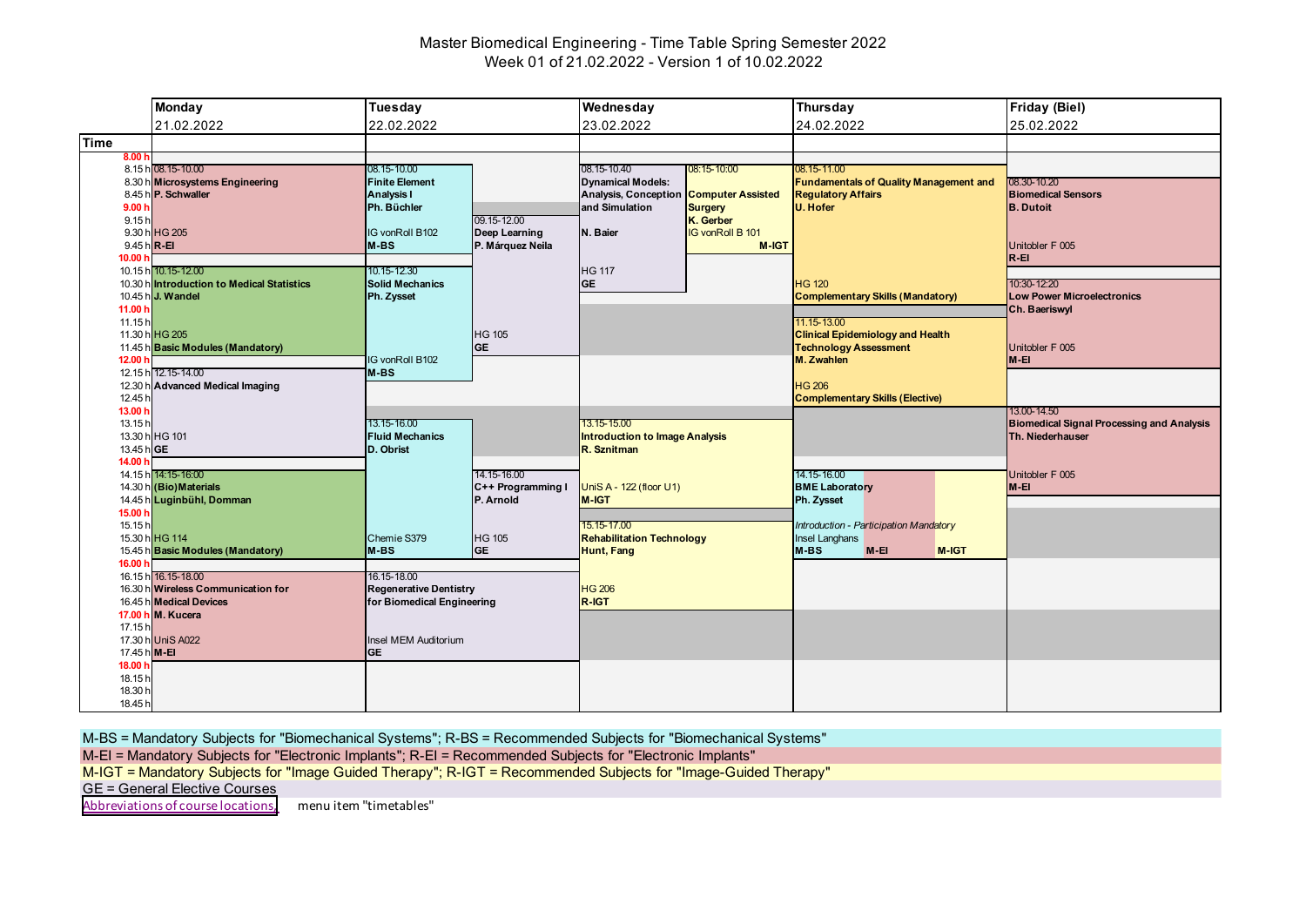# Master Biomedical Engineering - Time Table Spring Semester 2022 Week 01 of 21.02.2022 - Version 1 of 10.02.2022

|                                        | <b>Monday</b>                                                                         | Tuesday                                                                    |                                               | Wednesday                                                                 |                                                         | <b>Thursday</b>                                                                                      |        |       | <b>Friday (Biel)</b>                                                 |
|----------------------------------------|---------------------------------------------------------------------------------------|----------------------------------------------------------------------------|-----------------------------------------------|---------------------------------------------------------------------------|---------------------------------------------------------|------------------------------------------------------------------------------------------------------|--------|-------|----------------------------------------------------------------------|
|                                        | 21.02.2022                                                                            | 22.02.2022                                                                 |                                               | 23.02.2022                                                                |                                                         | 24.02.2022                                                                                           |        |       | 25.02.2022                                                           |
| <b>Time</b>                            |                                                                                       |                                                                            |                                               |                                                                           |                                                         |                                                                                                      |        |       |                                                                      |
| 8.00h                                  | 8.15 h 08.15-10.00                                                                    | 08.15-10.00                                                                |                                               | 08.15-10.40                                                               | 08:15-10:00                                             | 08.15-11.00                                                                                          |        |       |                                                                      |
| 9.00h<br>9.15h                         | 8.30 h Microsystems Engineering<br>8.45 h P. Schwaller                                | <b>Finite Element</b><br><b>Analysis I</b><br>Ph. Büchler                  | 09.15-12.00                                   | <b>Dynamical Models:</b><br><b>Analysis, Conception</b><br>and Simulation | <b>Computer Assisted</b><br><b>Surgery</b><br>K. Gerber | <b>Fundamentals of Quality Management and</b><br><b>Regulatory Affairs</b><br>U. Hofer               |        |       | 08.30-10.20<br><b>Biomedical Sensors</b><br><b>B.</b> Dutoit         |
| 9.45 h R-EI<br>10.00 <sub>b</sub>      | 9.30 h HG 205                                                                         | G vonRoll B102<br>M-BS                                                     | Deep Learning<br>P. Márquez Neila             | N. Baier                                                                  | <b>IG vonRoll B 101</b><br>M-IGT                        |                                                                                                      |        |       | Unitobler F 005<br>$R - EI$                                          |
| 11.00 h                                | 10.15 h 10.15-12.00<br>10.30 hintroduction to Medical Statistics<br>10.45 h J. Wandel | 10.15-12.30<br><b>Solid Mechanics</b><br>Ph. Zysset                        |                                               | <b>HG 117</b><br><b>GE</b>                                                |                                                         | <b>HG 120</b><br><b>Complementary Skills (Mandatory)</b>                                             |        |       | 10:30-12:20<br><b>Low Power Microelectronics</b><br>Ch. Baeriswyl    |
| 11.15h<br>12.00 h                      | 11.30 h HG 205<br>11.45 h Basic Modules (Mandatory)                                   | IG vonRoll B102                                                            | <b>HG 105</b><br><b>GE</b>                    |                                                                           |                                                         | 11.15-13.00<br><b>Clinical Epidemiology and Health</b><br><b>Technology Assessment</b><br>M. Zwahlen |        |       | Unitobler F 005<br>M-EI                                              |
| 12.30 h<br>12.45 h<br>13.00 h          | 12.15 h 12.15-14.00<br><b>Advanced Medical Imaging</b>                                | M-BS                                                                       |                                               |                                                                           |                                                         | <b>HG 206</b><br><b>Complementary Skills (Elective)</b>                                              |        |       | 13.00-14.50                                                          |
| 13.15h<br>13.45 h GE<br>14.00 h        | 13.30 h HG 101                                                                        | 13.15-16.00<br><b>Fluid Mechanics</b><br>D. Obrist                         |                                               | 13.15-15.00<br><b>Introduction to Image Analysis</b><br>R. Sznitman       |                                                         |                                                                                                      |        |       | <b>Biomedical Signal Processing and Analysis</b><br>Th. Niederhauser |
|                                        | 14.15 h 14:15-16:00<br>14.30 h (Bio) Materials<br>14.45 h Luginbühl, Domman           |                                                                            | 14.15-16.00<br>C++ Programming I<br>P. Arnold | UniS A - 122 (floor U1)<br><b>M-IGT</b>                                   |                                                         | 14.15-16.00<br><b>BME Laboratory</b><br>Ph. Zysset                                                   |        |       | Unitobler F 005<br>$M-EI$                                            |
| 15.00 h<br>15.15h                      | 15.30 h HG 114<br>15.45 h Basic Modules (Mandatory)                                   | Chemie S379<br>$M-BS$                                                      | <b>HG 105</b><br><b>GE</b>                    | 15.15-17.00<br><b>Rehabilitation Technology</b><br>Hunt, Fang             |                                                         | Introduction - Participation Mandatory<br><b>Insel Langhans</b><br>M-BS                              | $M-EI$ | M-IGT |                                                                      |
| 16.00 h                                | 16.15 h 16.15-18.00<br>16.30 h Wireless Communication for<br>16.45 h Medical Devices  | 16.15-18.00<br><b>Regenerative Dentistry</b><br>for Biomedical Engineering |                                               | <b>HG 206</b><br>R-IGT                                                    |                                                         |                                                                                                      |        |       |                                                                      |
| 17.15h<br>17.45 h M-EI                 | 17.00 h M. Kucera<br>17.30 h UniS A022                                                | Insel MEM Auditorium<br><b>GE</b>                                          |                                               |                                                                           |                                                         |                                                                                                      |        |       |                                                                      |
| 18.00 h<br>18.15h<br>18.30 h<br>18.45h |                                                                                       |                                                                            |                                               |                                                                           |                                                         |                                                                                                      |        |       |                                                                      |

M-BS = Mandatory Subjects for "Biomechanical Systems"; R-BS = Recommended Subjects for "Biomechanical Systems"

M-EI = Mandatory Subjects for "Electronic Implants"; R-EI = Recommended Subjects for "Electronic Implants"

M-IGT = Mandatory Subjects for "Image Guided Therapy"; R-IGT = Recommended Subjects for "Image-Guided Therapy"

GE = General Elective Courses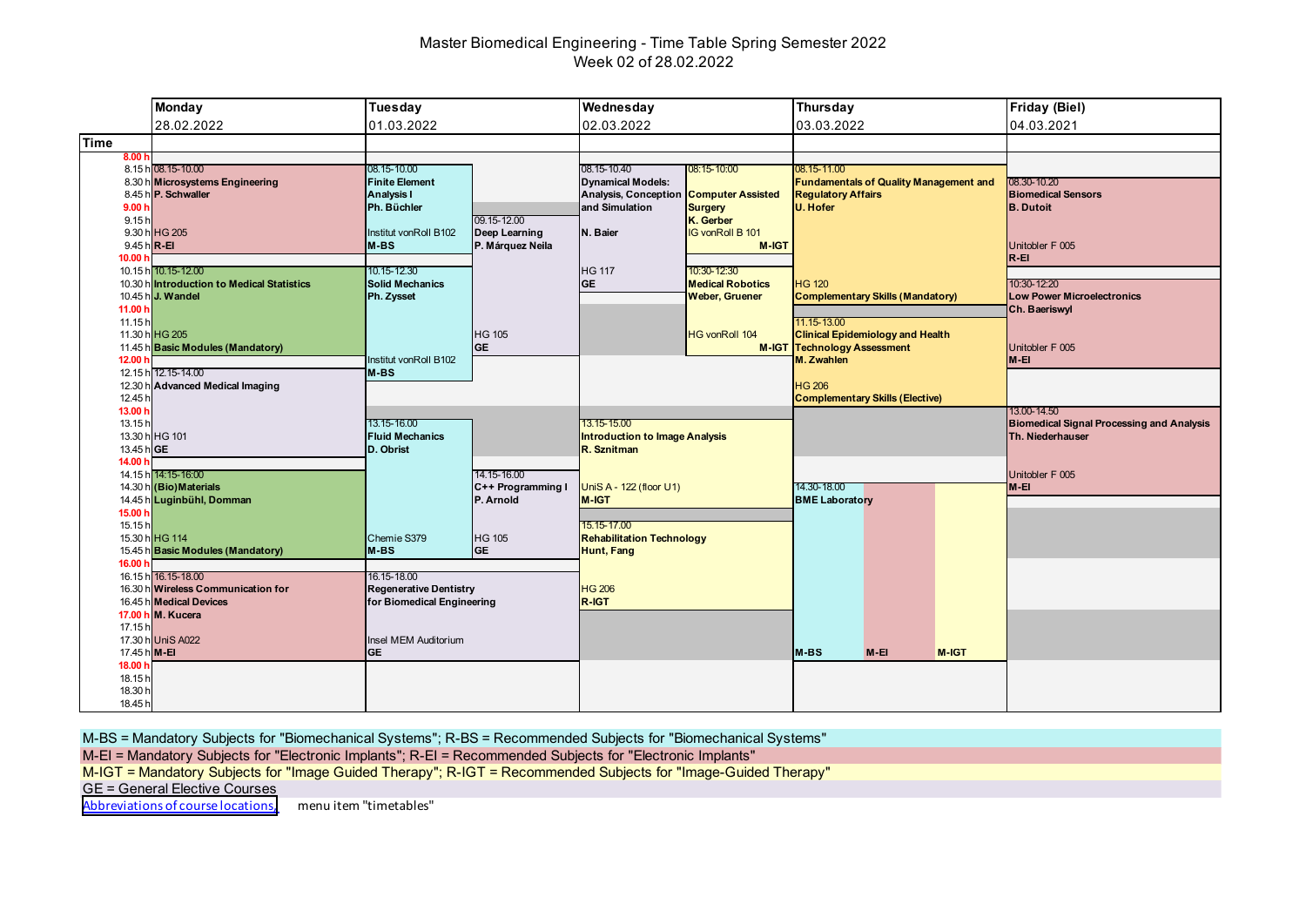# Master Biomedical Engineering - Time Table Spring Semester 2022 Week 02 of 28.02.2022

|                                         | <b>Monday</b>                                                                                             | Tuesday                                                                    |                                               | Wednesday                                                              |                                                        | Thursday                                         |                                               |       | <b>Friday (Biel)</b>                                                 |
|-----------------------------------------|-----------------------------------------------------------------------------------------------------------|----------------------------------------------------------------------------|-----------------------------------------------|------------------------------------------------------------------------|--------------------------------------------------------|--------------------------------------------------|-----------------------------------------------|-------|----------------------------------------------------------------------|
|                                         | 28.02.2022                                                                                                | 01.03.2022                                                                 |                                               | 02.03.2022                                                             |                                                        | 03.03.2022                                       |                                               |       | 04.03.2021                                                           |
| Time                                    |                                                                                                           |                                                                            |                                               |                                                                        |                                                        |                                                  |                                               |       |                                                                      |
| 8.00 h                                  | 8.15 h 08.15-10.00<br>8.30 h Microsystems Engineering<br>8.45 h P. Schwaller                              | 08.15-10.00<br><b>Finite Element</b><br><b>Analysis I</b>                  |                                               | 08.15-10.40<br><b>Dynamical Models:</b><br><b>Analysis, Conception</b> | 08:15-10:00<br><b>Computer Assisted</b>                | 08.15-11.00<br><b>Regulatory Affairs</b>         | <b>Fundamentals of Quality Management and</b> |       | 08.30-10.20<br><b>Biomedical Sensors</b>                             |
| 9.00h<br>9.15h                          | 9.30 h HG 205                                                                                             | Ph. Büchler<br>Institut vonRoll B102                                       | 09.15-12.00<br>Deep Learning                  | and Simulation<br>N. Baier                                             | <b>Surgery</b><br>K. Gerber<br><b>IG vonRoll B 101</b> | <b>U. Hofer</b>                                  |                                               |       | <b>B.</b> Dutoit                                                     |
| $9.45 h$ <sub>R-EI</sub><br>10.00 h     | 10.15 h 10.15-12.00<br>10.30 hintroduction to Medical Statistics                                          | $M-BS$<br>10.15-12.30<br><b>Solid Mechanics</b>                            | P. Márquez Neila                              | <b>HG 117</b><br><b>GE</b>                                             | M-IGT<br>10:30-12:30<br><b>Medical Robotics</b>        | <b>HG 120</b>                                    |                                               |       | Unitobler F 005<br>$R - EI$<br>10:30-12:20                           |
| 11.00 h<br>11.15h                       | 10.45 h J. Wandel                                                                                         | Ph. Zysset                                                                 |                                               |                                                                        | <b>Weber, Gruener</b>                                  | 11.15-13.00                                      | <b>Complementary Skills (Mandatory)</b>       |       | <b>Low Power Microelectronics</b><br>Ch. Baeriswyl                   |
| 12.00 h                                 | 11.30 h HG 205<br>11.45 h Basic Modules (Mandatory)<br>12.15 h 12.15-14.00                                | Institut vonRoll B102<br>$M-BS$                                            | <b>HG 105</b><br><b>GE</b>                    |                                                                        | <b>HG vonRoll 104</b>                                  | <b>M-IGT Technology Assessment</b><br>M. Zwahlen | <b>Clinical Epidemiology and Health</b>       |       | Unitobler F 005<br>M-EI                                              |
| 12.45 h<br>13.00 h                      | 12.30 h Advanced Medical Imaging                                                                          |                                                                            |                                               |                                                                        |                                                        | <b>HG 206</b>                                    | <b>Complementary Skills (Elective)</b>        |       | 13.00-14.50                                                          |
| 13.15h<br>13.45 h GE<br>14.00 h         | 13.30 h HG 101                                                                                            | 13.15-16.00<br><b>Fluid Mechanics</b><br>D. Obrist                         |                                               | 13.15-15.00<br><b>Introduction to Image Analysis</b><br>R. Sznitman    |                                                        |                                                  |                                               |       | <b>Biomedical Signal Processing and Analysis</b><br>Th. Niederhauser |
|                                         | 14.15 h 14:15-16:00<br>14.30 h (Bio) Materials<br>14.45 h Luginbühl, Domman                               |                                                                            | 14.15-16.00<br>C++ Programming I<br>P. Arnold | UniS A - 122 (floor U1)<br>M-IGT                                       |                                                        | 14.30-18.00<br><b>BME Laboratory</b>             |                                               |       | Unitobler F 005<br>M-EI                                              |
| 15.00 h<br>15.15h<br>16.00 h            | 15.30 h HG 114<br>15.45 h Basic Modules (Mandatory)                                                       | Chemie S379<br>$M-BS$                                                      | <b>HG 105</b><br><b>GE</b>                    | 15.15-17.00<br><b>Rehabilitation Technology</b><br>Hunt, Fang          |                                                        |                                                  |                                               |       |                                                                      |
|                                         | 16.15 h 16.15-18.00<br>16.30 h Wireless Communication for<br>16.45 h Medical Devices<br>17.00 h M. Kucera | 16.15-18.00<br><b>Regenerative Dentistry</b><br>for Biomedical Engineering |                                               | <b>HG 206</b><br>R-IGT                                                 |                                                        |                                                  |                                               |       |                                                                      |
| 17.15h<br>17.45 h M-EI                  | 17.30 h UniS A022                                                                                         | Insel MEM Auditorium<br><b>GE</b>                                          |                                               |                                                                        |                                                        | M-BS                                             | $M-EI$                                        | M-IGT |                                                                      |
| 18.00 h<br>18.15h<br>18.30 h<br>18.45 h |                                                                                                           |                                                                            |                                               |                                                                        |                                                        |                                                  |                                               |       |                                                                      |

M-BS = Mandatory Subjects for "Biomechanical Systems"; R-BS = Recommended Subjects for "Biomechanical Systems"

M-EI = Mandatory Subjects for "Electronic Implants"; R-EI = Recommended Subjects for "Electronic Implants"

M-IGT = Mandatory Subjects for "Image Guided Therapy"; R-IGT = Recommended Subjects for "Image-Guided Therapy"

GE = General Elective Courses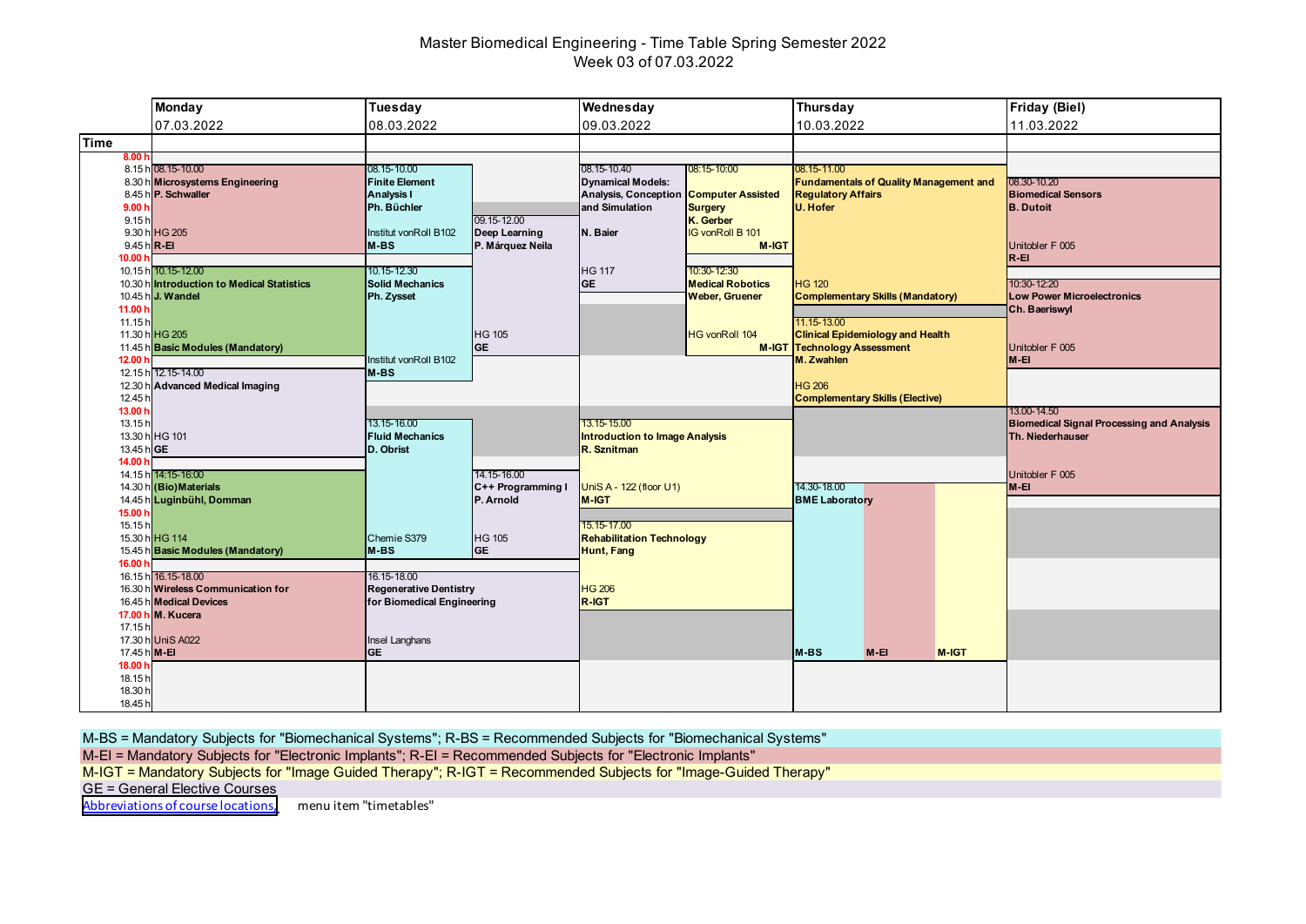# Master Biomedical Engineering - Time Table Spring Semester 2022 Week 03 of 07.03.2022

|                        | <b>Monday</b>                                                  | Tuesday                                                     |                                | Wednesday                                               |                                                  | <b>Thursday</b>                                  |                                               |       | <b>Friday (Biel)</b>                                                 |
|------------------------|----------------------------------------------------------------|-------------------------------------------------------------|--------------------------------|---------------------------------------------------------|--------------------------------------------------|--------------------------------------------------|-----------------------------------------------|-------|----------------------------------------------------------------------|
|                        | 07.03.2022                                                     | 08.03.2022                                                  |                                | 09.03.2022                                              |                                                  | 10.03.2022                                       |                                               |       | 11.03.2022                                                           |
| <b>Time</b>            |                                                                |                                                             |                                |                                                         |                                                  |                                                  |                                               |       |                                                                      |
| 8.00 h                 | 8.15 h 08.15-10.00                                             | 08.15-10.00                                                 |                                | 08.15-10.40                                             | 08:15-10:00                                      | 08.15-11.00                                      |                                               |       |                                                                      |
|                        | 8.30 h Microsystems Engineering<br>8.45 h P. Schwaller         | <b>Finite Element</b><br><b>Analysis I</b>                  |                                | <b>Dynamical Models:</b><br><b>Analysis, Conception</b> | <b>Computer Assisted</b>                         | <b>Regulatory Affairs</b>                        | <b>Fundamentals of Quality Management and</b> |       | 08.30-10.20<br><b>Biomedical Sensors</b>                             |
| 9.00h<br>9.15h         |                                                                | Ph. Büchler                                                 | 09.15-12.00                    | and Simulation                                          | <b>Surgery</b><br>K. Gerber                      | <b>U. Hofer</b>                                  |                                               |       | <b>B.</b> Dutoit                                                     |
|                        | 9.30 h HG 205                                                  | nstitut vonRoll B102                                        | Deep Learning                  | N. Baier                                                | <b>IG vonRoll B 101</b>                          |                                                  |                                               |       |                                                                      |
| 9.45 h R-EI<br>10.00 h |                                                                | M-BS                                                        | P. Márquez Neila               |                                                         | M-IGT                                            |                                                  |                                               |       | Unitobler F 005<br>$R - EI$                                          |
|                        | 10.15 h 10.15-12.00                                            | 10.15-12.30                                                 |                                | <b>HG 117</b>                                           | 10:30-12:30                                      |                                                  |                                               |       |                                                                      |
|                        | 10.30 hintroduction to Medical Statistics<br>10.45 h J. Wandel | <b>Solid Mechanics</b><br>Ph. Zysset                        |                                | <b>GE</b>                                               | <b>Medical Robotics</b><br><b>Weber, Gruener</b> | <b>HG 120</b>                                    | <b>Complementary Skills (Mandatory)</b>       |       | 10:30-12:20<br><b>Low Power Microelectronics</b>                     |
| 11.00 h<br>11.15h      |                                                                |                                                             |                                |                                                         |                                                  | 11.15-13.00                                      |                                               |       | Ch. Baeriswyl                                                        |
|                        | 11.30 h HG 205                                                 |                                                             | <b>HG 105</b>                  |                                                         | <b>HG vonRoll 104</b>                            |                                                  | <b>Clinical Epidemiology and Health</b>       |       |                                                                      |
| 12.00 h                | 11.45 h Basic Modules (Mandatory)                              | Institut vonRoll B102                                       | <b>GE</b>                      |                                                         |                                                  | <b>M-IGT Technology Assessment</b><br>M. Zwahlen |                                               |       | Unitobler F 005<br>M-EI                                              |
|                        | 12.15 h 12.15-14.00                                            | M-BS                                                        |                                |                                                         |                                                  |                                                  |                                               |       |                                                                      |
| 12.45 h                | 12.30 h Advanced Medical Imaging                               |                                                             |                                |                                                         |                                                  | <b>HG 206</b>                                    | <b>Complementary Skills (Elective)</b>        |       |                                                                      |
| 13.00 h                |                                                                | 13.15-16.00                                                 |                                | 13.15-15.00                                             |                                                  |                                                  |                                               |       | 13.00-14.50                                                          |
| 13.15h                 | 13.30 h HG 101                                                 | <b>Fluid Mechanics</b>                                      |                                | <b>Introduction to Image Analysis</b>                   |                                                  |                                                  |                                               |       | <b>Biomedical Signal Processing and Analysis</b><br>Th. Niederhauser |
| 13.45 h GE<br>14.00 h  |                                                                | D. Obrist                                                   |                                | R. Sznitman                                             |                                                  |                                                  |                                               |       |                                                                      |
|                        | 14.15 h 14:15-16:00                                            |                                                             | 14.15-16.00                    |                                                         |                                                  |                                                  |                                               |       | Unitobler F 005                                                      |
|                        | 14.30 h (Bio) Materials<br>14.45 h Luginbühl, Domman           |                                                             | C++ Programming I<br>P. Arnold | UniS A - 122 (floor U1)<br><b>M-IGT</b>                 |                                                  | 14.30-18.00<br><b>BME Laboratory</b>             |                                               |       | $M-EI$                                                               |
| 15.00 h                |                                                                |                                                             |                                |                                                         |                                                  |                                                  |                                               |       |                                                                      |
| 15.15h                 | 15.30 h HG 114                                                 | Chemie S379                                                 | <b>HG 105</b>                  | 15.15-17.00<br><b>Rehabilitation Technology</b>         |                                                  |                                                  |                                               |       |                                                                      |
| 16.00 h                | 15.45 h Basic Modules (Mandatory)                              | $M-BS$                                                      | <b>GE</b>                      | Hunt, Fang                                              |                                                  |                                                  |                                               |       |                                                                      |
|                        | 16.15 h 16.15-18.00                                            | 16.15-18.00                                                 |                                |                                                         |                                                  |                                                  |                                               |       |                                                                      |
|                        | 16.30 h Wireless Communication for<br>16.45 h Medical Devices  | <b>Regenerative Dentistry</b><br>for Biomedical Engineering |                                | <b>HG 206</b><br>R-IGT                                  |                                                  |                                                  |                                               |       |                                                                      |
|                        | 17.00 h M. Kucera                                              |                                                             |                                |                                                         |                                                  |                                                  |                                               |       |                                                                      |
| 17.15h                 | 17.30 h UniS A022                                              | Insel Langhans                                              |                                |                                                         |                                                  |                                                  |                                               |       |                                                                      |
| 17.45 h M-EI           |                                                                | <b>GE</b>                                                   |                                |                                                         |                                                  | M-BS                                             | $M-EI$                                        | M-IGT |                                                                      |
| 18.00 h<br>18.15h      |                                                                |                                                             |                                |                                                         |                                                  |                                                  |                                               |       |                                                                      |
| 18.30 h                |                                                                |                                                             |                                |                                                         |                                                  |                                                  |                                               |       |                                                                      |
| 18.45 h                |                                                                |                                                             |                                |                                                         |                                                  |                                                  |                                               |       |                                                                      |

M-BS = Mandatory Subjects for "Biomechanical Systems"; R-BS = Recommended Subjects for "Biomechanical Systems"

M-EI = Mandatory Subjects for "Electronic Implants"; R-EI = Recommended Subjects for "Electronic Implants"

M-IGT = Mandatory Subjects for "Image Guided Therapy"; R-IGT = Recommended Subjects for "Image-Guided Therapy"

GE = General Elective Courses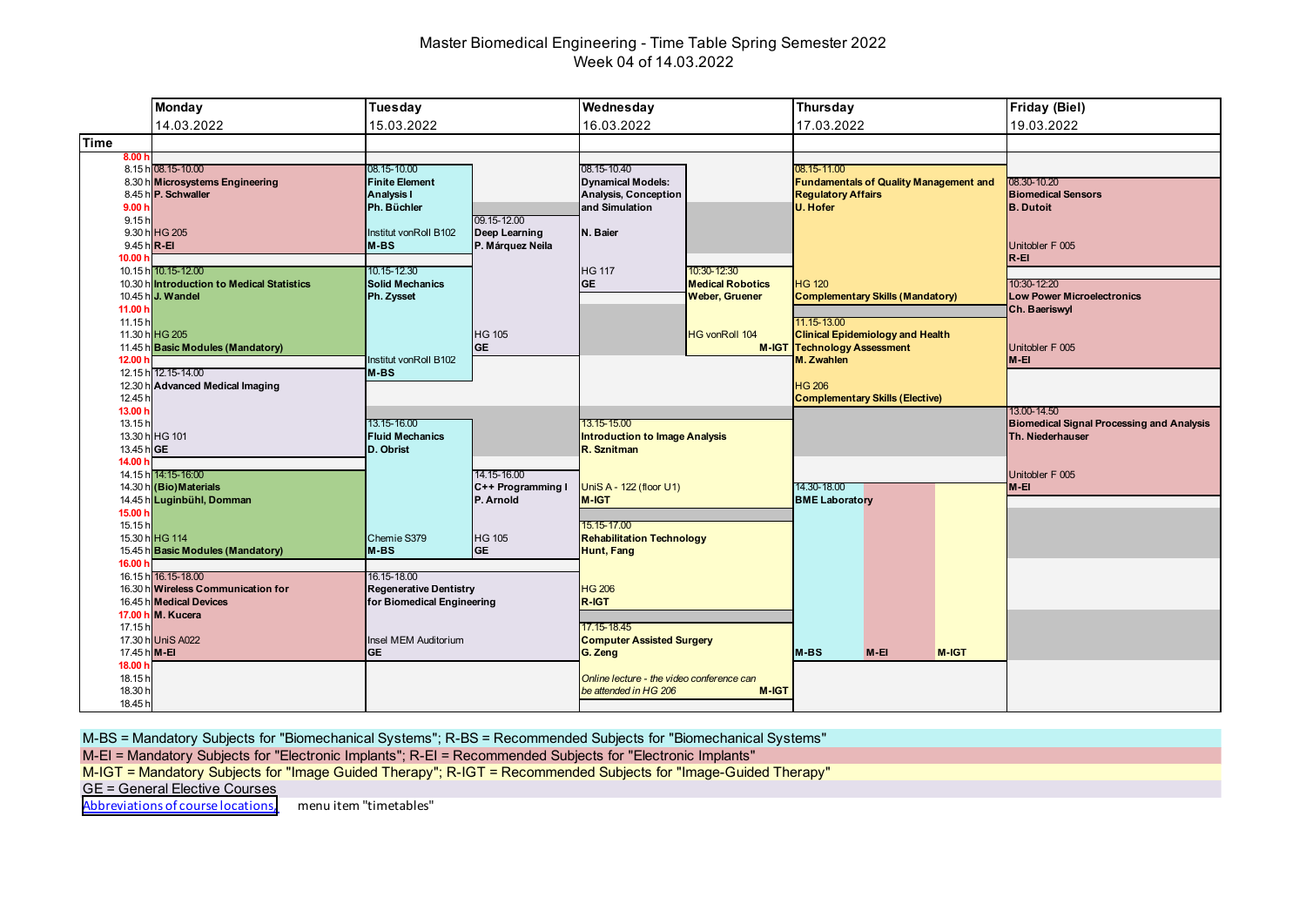# Master Biomedical Engineering - Time Table Spring Semester 2022 Week 04 of 14.03.2022

|                                                              | <b>Monday</b>                                                                                                                                 | <b>Tuesday</b>                                                                                                         |                                                                             | Wednesday                                                                                                                         |                                                                                          | Thursday                                                                         |                                                                                    |       | <b>Friday (Biel)</b>                                                                         |
|--------------------------------------------------------------|-----------------------------------------------------------------------------------------------------------------------------------------------|------------------------------------------------------------------------------------------------------------------------|-----------------------------------------------------------------------------|-----------------------------------------------------------------------------------------------------------------------------------|------------------------------------------------------------------------------------------|----------------------------------------------------------------------------------|------------------------------------------------------------------------------------|-------|----------------------------------------------------------------------------------------------|
|                                                              | 14.03.2022                                                                                                                                    | 15.03.2022                                                                                                             |                                                                             | 16.03.2022                                                                                                                        |                                                                                          | 17.03.2022                                                                       |                                                                                    |       | 19.03.2022                                                                                   |
| Time                                                         |                                                                                                                                               |                                                                                                                        |                                                                             |                                                                                                                                   |                                                                                          |                                                                                  |                                                                                    |       |                                                                                              |
| 8.00h<br>9.00h<br>9.15h<br>9.45 h R-EI<br>10.00 <sub>b</sub> | 8.15 h 08.15-10.00<br>8.30 h Microsystems Engineering<br>8.45 h P. Schwaller<br>9.30 h HG 205                                                 | 08.15-10.00<br><b>Finite Element</b><br><b>Analysis I</b><br>Ph. Büchler<br>Institut vonRoll B102<br>M-BS              | 09.15-12.00<br>Deep Learning<br>P. Márquez Neila                            | 08.15-10.40<br><b>Dynamical Models:</b><br><b>Analysis, Conception</b><br>and Simulation<br>N. Baier                              |                                                                                          | 08.15-11.00<br><b>Regulatory Affairs</b><br>U. Hofer                             | <b>Fundamentals of Quality Management and</b>                                      |       | 08.30-10.20<br><b>Biomedical Sensors</b><br><b>B.</b> Dutoit<br>Unitobler F 005<br>$R - EI$  |
| 11.00 h<br>11.15h<br>12.00 <sub>h</sub>                      | 10.15 h 10.15-12.00<br>10.30 h Introduction to Medical Statistics<br>10.45 h J. Wandel<br>11.30 h HG 205<br>11.45 h Basic Modules (Mandatory) | 10.15-12.30<br><b>Solid Mechanics</b><br>Ph. Zysset<br>Institut vonRoll B102                                           | <b>HG 105</b><br><b>GE</b>                                                  | <b>HG 117</b><br><b>GE</b>                                                                                                        | 10:30-12:30<br><b>Medical Robotics</b><br><b>Weber, Gruener</b><br><b>HG vonRoll 104</b> | <b>HG 120</b><br>11.15-13.00<br><b>M-IGT Technology Assessment</b><br>M. Zwahlen | <b>Complementary Skills (Mandatory)</b><br><b>Clinical Epidemiology and Health</b> |       | 10:30-12:20<br><b>Low Power Microelectronics</b><br>Ch. Baeriswyl<br>Unitobler F 005<br>M-EI |
| 12.45 h<br>13.00 h<br>13.15h<br>13.45 h GE                   | 12.15 h 12.15-14.00<br>12.30 h Advanced Medical Imaging<br>13.30 h HG 101                                                                     | M-BS<br>13.15-16.00<br><b>Fluid Mechanics</b><br>D. Obrist                                                             |                                                                             | 13.15-15.00<br><b>Introduction to Image Analysis</b><br>R. Sznitman                                                               |                                                                                          | <b>HG 206</b><br><b>Complementary Skills (Elective)</b>                          |                                                                                    |       | 13.00-14.50<br><b>Biomedical Signal Processing and Analysis</b><br>Th. Niederhauser          |
| 14.00 h<br>15.00 h<br>15.15h                                 | 14.15 h 14:15-16:00<br>14.30 h (Bio) Materials<br>14.45 h Luginbühl, Domman<br>15.30 h HG 114<br>15.45 h Basic Modules (Mandatory)            | Chemie S379<br>M-BS                                                                                                    | 14.15-16.00<br>C++ Programming I<br>P. Arnold<br><b>HG 105</b><br><b>GE</b> | UniS A - 122 (floor U1)<br><b>M-IGT</b><br>15.15-17.00<br><b>Rehabilitation Technology</b><br><b>Hunt, Fang</b>                   |                                                                                          | 14.30-18.00<br><b>BME Laboratory</b>                                             |                                                                                    |       | Unitobler F 005<br>M-EI                                                                      |
| 16.00 h<br>17.15h<br>17.45 h M-EI<br>18.00 h<br>18.15h       | 16.15 h 16.15-18.00<br>16.30 h Wireless Communication for<br>16.45 h Medical Devices<br>17.00 h M. Kucera<br>17.30 h UniS A022                | 16.15-18.00<br><b>Regenerative Dentistry</b><br>for Biomedical Engineering<br><b>Insel MEM Auditorium</b><br><b>GE</b> |                                                                             | <b>HG 206</b><br>R-IGT<br>17.15-18.45<br><b>Computer Assisted Surgery</b><br>G. Zeng<br>Online lecture - the video conference can |                                                                                          | <b>M-BS</b>                                                                      | $M-EI$                                                                             | M-IGT |                                                                                              |
| 18.30 h<br>18.45 h                                           |                                                                                                                                               |                                                                                                                        |                                                                             | be attended in HG 206                                                                                                             | M-IGT                                                                                    |                                                                                  |                                                                                    |       |                                                                                              |

M-BS = Mandatory Subjects for "Biomechanical Systems"; R-BS = Recommended Subjects for "Biomechanical Systems"

M-EI = Mandatory Subjects for "Electronic Implants"; R-EI = Recommended Subjects for "Electronic Implants"

M-IGT = Mandatory Subjects for "Image Guided Therapy"; R-IGT = Recommended Subjects for "Image-Guided Therapy"

GE = General Elective Courses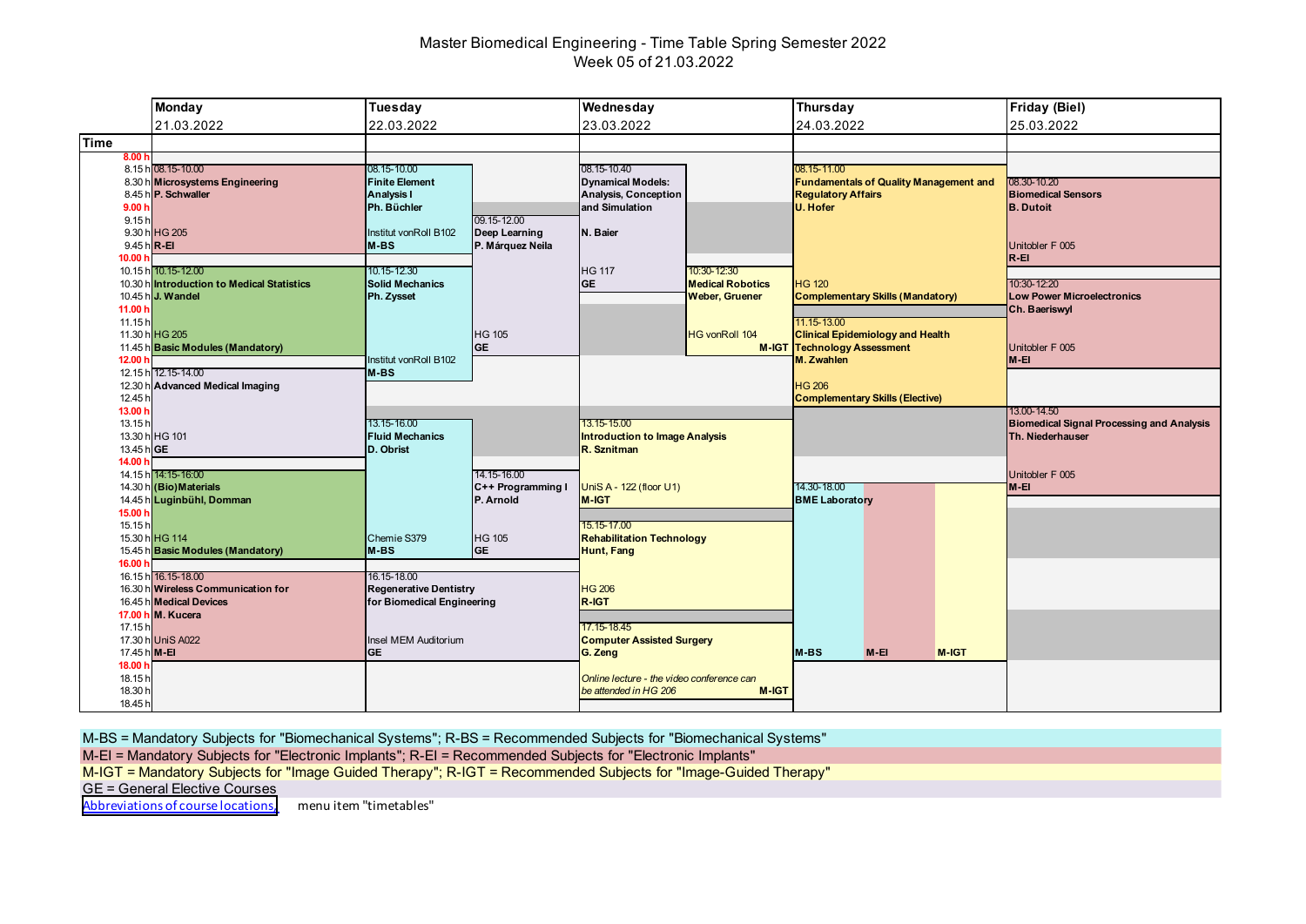# Master Biomedical Engineering - Time Table Spring Semester 2022 Week 05 of 21.03.2022

|                              | <b>Monday</b>                                                 | Tuesday                                                     |                            | Wednesday                                                          |                         | <b>Thursday</b>                                                               | <b>Friday (Biel)</b>                                            |
|------------------------------|---------------------------------------------------------------|-------------------------------------------------------------|----------------------------|--------------------------------------------------------------------|-------------------------|-------------------------------------------------------------------------------|-----------------------------------------------------------------|
|                              | 21.03.2022                                                    | 22.03.2022                                                  |                            | 23.03.2022                                                         |                         | 24.03.2022                                                                    | 25.03.2022                                                      |
| <b>Time</b>                  |                                                               |                                                             |                            |                                                                    |                         |                                                                               |                                                                 |
| 8.00h                        | 8.15 h 08.15-10.00<br>8.30 h Microsystems Engineering         | 08.15-10.00<br><b>Finite Element</b>                        |                            | 08.15-10.40<br><b>Dynamical Models:</b>                            |                         | 08.15-11.00<br><b>Fundamentals of Quality Management and</b>                  | 08.30-10.20                                                     |
|                              | 8.45 h P. Schwaller                                           | <b>Analysis I</b>                                           |                            | <b>Analysis, Conception</b>                                        |                         | <b>Regulatory Affairs</b>                                                     | <b>Biomedical Sensors</b>                                       |
| 9.00 <sub>1</sub><br>9.15h   |                                                               | Ph. Büchler                                                 | 09.15-12.00                | and Simulation                                                     |                         | <b>U. Hofer</b>                                                               | <b>B.</b> Dutoit                                                |
|                              | 9.30 h HG 205                                                 | Institut vonRoll B102                                       | Deep Learning              | N. Baier                                                           |                         |                                                                               |                                                                 |
| 9.45 h R-EI<br>10.00 h       |                                                               | M-BS                                                        | P. Márquez Neila           |                                                                    |                         |                                                                               | Unitobler F 005<br>$R - EI$                                     |
|                              | 10.15 h 10.15-12.00                                           | 10.15-12.30                                                 |                            | <b>HG 117</b>                                                      | 10:30-12:30             |                                                                               |                                                                 |
|                              | 10.30 h Introduction to Medical Statistics                    | Solid Mechanics                                             |                            | <b>GE</b>                                                          | <b>Medical Robotics</b> | <b>HG 120</b>                                                                 | 10:30-12:20                                                     |
| 11.00 h                      | 10.45 h J. Wandel                                             | Ph. Zysset                                                  |                            |                                                                    | <b>Weber, Gruener</b>   | <b>Complementary Skills (Mandatory)</b>                                       | <b>Low Power Microelectronics</b><br>Ch. Baeriswyl              |
| 11.15h                       |                                                               |                                                             |                            |                                                                    |                         | 11.15-13.00                                                                   |                                                                 |
|                              | 11.30 h HG 205<br>11.45 h Basic Modules (Mandatory)           |                                                             | <b>HG 105</b><br><b>GE</b> |                                                                    | <b>HG vonRoll 104</b>   | <b>Clinical Epidemiology and Health</b><br><b>M-IGT Technology Assessment</b> | Unitobler F 005                                                 |
| 12.00 <sub>1</sub>           |                                                               | Institut vonRoll B102                                       |                            |                                                                    |                         | M. Zwahlen                                                                    | $M-EI$                                                          |
|                              | 12.15 h 12.15-14.00<br>12.30 h Advanced Medical Imaging       | M-BS                                                        |                            |                                                                    |                         | <b>HG 206</b>                                                                 |                                                                 |
| 12.45 h                      |                                                               |                                                             |                            |                                                                    |                         | <b>Complementary Skills (Elective)</b>                                        |                                                                 |
| 13.00 h<br>13.15h            |                                                               | 13.15-16.00                                                 |                            | 13.15-15.00                                                        |                         |                                                                               | 13.00-14.50<br><b>Biomedical Signal Processing and Analysis</b> |
|                              | 13.30 h HG 101                                                | <b>Fluid Mechanics</b>                                      |                            | <b>Introduction to Image Analysis</b>                              |                         |                                                                               | Th. Niederhauser                                                |
| 13.45 hGE                    |                                                               | D. Obrist                                                   |                            | R. Sznitman                                                        |                         |                                                                               |                                                                 |
| 14.00 h                      |                                                               |                                                             |                            |                                                                    |                         |                                                                               |                                                                 |
|                              | 14.15 h 14:15-16:00                                           |                                                             | 14.15-16.00                |                                                                    |                         |                                                                               | Unitobler F 005                                                 |
|                              | 14.30 h (Bio) Materials                                       |                                                             | C++ Programming I          | UniS A - 122 (floor U1)                                            |                         | 14.30-18.00                                                                   | $M-EI$                                                          |
|                              | 14.45 h Luginbühl, Domman                                     |                                                             | P. Arnold                  | <b>M-IGT</b>                                                       |                         | <b>BME Laboratory</b>                                                         |                                                                 |
| 15.00 h<br>15.15h            |                                                               |                                                             |                            | 15.15-17.00                                                        |                         |                                                                               |                                                                 |
|                              | 15.30 h HG 114                                                | Chemie S379                                                 | <b>HG 105</b>              | <b>Rehabilitation Technology</b>                                   |                         |                                                                               |                                                                 |
| 16.00 h                      | 15.45 h Basic Modules (Mandatory)                             | M-BS                                                        | lge                        | <b>Hunt, Fang</b>                                                  |                         |                                                                               |                                                                 |
|                              | 16.15 h 16.15-18.00                                           | 16.15-18.00                                                 |                            |                                                                    |                         |                                                                               |                                                                 |
|                              | 16.30 h Wireless Communication for<br>16.45 h Medical Devices | <b>Regenerative Dentistry</b><br>for Biomedical Engineering |                            | <b>HG 206</b><br>R-IGT                                             |                         |                                                                               |                                                                 |
|                              | 17.00 h M. Kucera                                             |                                                             |                            |                                                                    |                         |                                                                               |                                                                 |
| 17.15h                       | 17.30 h UniS A022                                             | Insel MEM Auditorium                                        |                            | 17.15-18.45                                                        |                         |                                                                               |                                                                 |
| 17.45 h M-EI                 |                                                               | <b>GE</b>                                                   |                            | <b>Computer Assisted Surgery</b><br>G. Zeng                        |                         | $M-BS$<br>$M-EI$<br>M-IGT                                                     |                                                                 |
| 18.00 h                      |                                                               |                                                             |                            |                                                                    |                         |                                                                               |                                                                 |
| 18.15h<br>18.30 h<br>18.45 h |                                                               |                                                             |                            | Online lecture - the video conference can<br>be attended in HG 206 | <b>M-IGT</b>            |                                                                               |                                                                 |

M-BS = Mandatory Subjects for "Biomechanical Systems"; R-BS = Recommended Subjects for "Biomechanical Systems"

M-EI = Mandatory Subjects for "Electronic Implants"; R-EI = Recommended Subjects for "Electronic Implants"

M-IGT = Mandatory Subjects for "Image Guided Therapy"; R-IGT = Recommended Subjects for "Image-Guided Therapy"

GE = General Elective Courses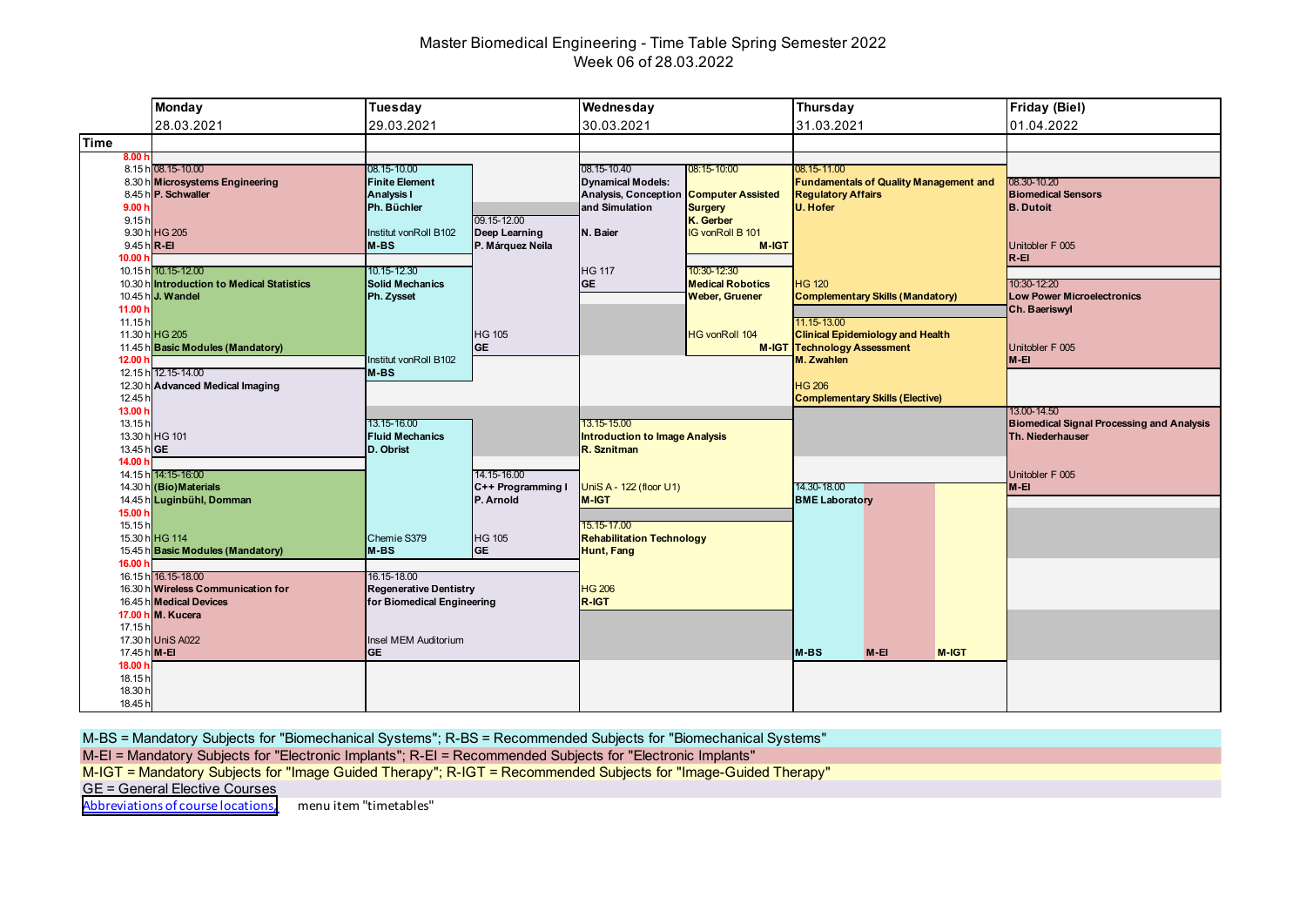# Master Biomedical Engineering - Time Table Spring Semester 2022 Week 06 of 28.03.2022

|                                            | <b>Monday</b>                                                                                             | Tuesday                                                                    |                                                  | Wednesday                                                              |                                                                 | Thursday                                 |                                                                                                            |       | <b>Friday (Biel)</b>                                                          |
|--------------------------------------------|-----------------------------------------------------------------------------------------------------------|----------------------------------------------------------------------------|--------------------------------------------------|------------------------------------------------------------------------|-----------------------------------------------------------------|------------------------------------------|------------------------------------------------------------------------------------------------------------|-------|-------------------------------------------------------------------------------|
|                                            | 28.03.2021                                                                                                | 29.03.2021                                                                 |                                                  | 30.03.2021                                                             |                                                                 | 31.03.2021                               |                                                                                                            |       | 01.04.2022                                                                    |
| Time                                       |                                                                                                           |                                                                            |                                                  |                                                                        |                                                                 |                                          |                                                                                                            |       |                                                                               |
| 8.00 h                                     | 8.15 h 08.15-10.00<br>8.30 h Microsystems Engineering<br>8.45 h P. Schwaller                              | 08.15-10.00<br><b>Finite Element</b><br><b>Analysis I</b>                  |                                                  | 08.15-10.40<br><b>Dynamical Models:</b><br><b>Analysis, Conception</b> | 08:15-10:00<br><b>Computer Assisted</b>                         | 08.15-11.00<br><b>Regulatory Affairs</b> | <b>Fundamentals of Quality Management and</b>                                                              |       | 08.30-10.20<br><b>Biomedical Sensors</b>                                      |
| 9.00h<br>9.15h<br>$9.45 h$ <sub>R-EI</sub> | 9.30 h HG 205                                                                                             | Ph. Büchler<br>Institut vonRoll B102<br>$M-BS$                             | 09.15-12.00<br>Deep Learning<br>P. Márquez Neila | and Simulation<br>N. Baier                                             | <b>Surgery</b><br>K. Gerber<br><b>IG vonRoll B 101</b><br>M-IGT | <b>U. Hofer</b>                          |                                                                                                            |       | <b>B.</b> Dutoit<br>Unitobler F 005                                           |
| 10.00 h<br>11.00 h                         | 10.15 h 10.15-12.00<br>10.30 hintroduction to Medical Statistics<br>10.45 h J. Wandel                     | 10.15-12.30<br><b>Solid Mechanics</b><br>Ph. Zysset                        |                                                  | <b>HG 117</b><br><b>GE</b>                                             | 10:30-12:30<br><b>Medical Robotics</b><br><b>Weber, Gruener</b> | <b>HG 120</b>                            | <b>Complementary Skills (Mandatory)</b>                                                                    |       | $R - EI$<br>10:30-12:20<br><b>Low Power Microelectronics</b><br>Ch. Baeriswyl |
| 11.15h<br>12.00 h                          | 11.30 h HG 205<br>11.45 h Basic Modules (Mandatory)                                                       | Institut vonRoll B102                                                      | <b>HG 105</b><br><b>GE</b>                       |                                                                        | <b>HG vonRoll 104</b>                                           |                                          | 11.15-13.00<br><b>Clinical Epidemiology and Health</b><br><b>M-IGT Technology Assessment</b><br>M. Zwahlen |       | Unitobler F 005<br>M-EI                                                       |
| 12.45 h<br>13.00 h                         | 12.15 h 12.15-14.00<br>12.30 h Advanced Medical Imaging                                                   | $M-BS$                                                                     |                                                  |                                                                        |                                                                 | <b>HG 206</b>                            | <b>Complementary Skills (Elective)</b>                                                                     |       | 13.00-14.50                                                                   |
| 13.15h<br>13.45 h GE<br>14.00 h            | 13.30 h HG 101                                                                                            | 13.15-16.00<br><b>Fluid Mechanics</b><br>D. Obrist                         |                                                  | 13.15-15.00<br><b>Introduction to Image Analysis</b><br>R. Sznitman    |                                                                 |                                          |                                                                                                            |       | <b>Biomedical Signal Processing and Analysis</b><br>Th. Niederhauser          |
|                                            | 14.15 h 14:15-16:00<br>14.30 h (Bio) Materials<br>14.45 h Luginbühl, Domman                               |                                                                            | 14.15-16.00<br>C++ Programming I<br>P. Arnold    | UniS A - 122 (floor U1)<br>M-IGT                                       |                                                                 | 14.30-18.00<br><b>BME Laboratory</b>     |                                                                                                            |       | Unitobler F 005<br>M-EI                                                       |
| 15.00 h<br>15.15h<br>16.00 h               | 15.30 h HG 114<br>15.45 h Basic Modules (Mandatory)                                                       | Chemie S379<br>$M-BS$                                                      | <b>HG 105</b><br><b>GE</b>                       | 15.15-17.00<br><b>Rehabilitation Technology</b><br>Hunt, Fang          |                                                                 |                                          |                                                                                                            |       |                                                                               |
|                                            | 16.15 h 16.15-18.00<br>16.30 h Wireless Communication for<br>16.45 h Medical Devices<br>17.00 h M. Kucera | 16.15-18.00<br><b>Regenerative Dentistry</b><br>for Biomedical Engineering |                                                  | <b>HG 206</b><br>R-IGT                                                 |                                                                 |                                          |                                                                                                            |       |                                                                               |
| 17.15h<br>17.45 h M-EI<br>18.00 h          | 17.30 h UniS A022                                                                                         | Insel MEM Auditorium<br><b>GE</b>                                          |                                                  |                                                                        |                                                                 | M-BS                                     | $M-EI$                                                                                                     | M-IGT |                                                                               |
| 18.15h<br>18.30 h<br>18.45 h               |                                                                                                           |                                                                            |                                                  |                                                                        |                                                                 |                                          |                                                                                                            |       |                                                                               |

M-BS = Mandatory Subjects for "Biomechanical Systems"; R-BS = Recommended Subjects for "Biomechanical Systems"

M-EI = Mandatory Subjects for "Electronic Implants"; R-EI = Recommended Subjects for "Electronic Implants"

M-IGT = Mandatory Subjects for "Image Guided Therapy"; R-IGT = Recommended Subjects for "Image-Guided Therapy"

GE = General Elective Courses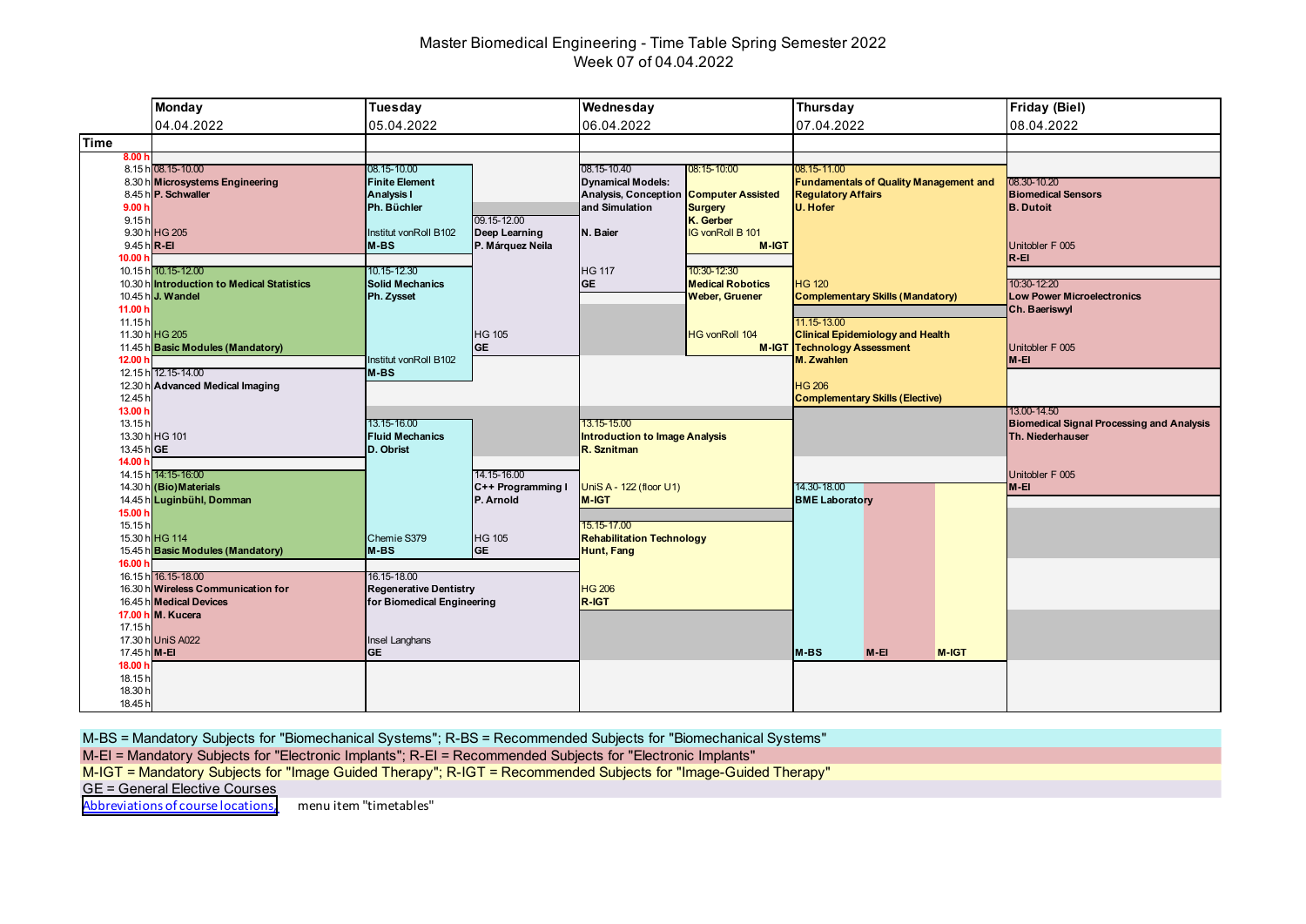# Master Biomedical Engineering - Time Table Spring Semester 2022 Week 07 of 04.04.2022

|                                                         | <b>Monday</b>                                                                                             | Tuesday                                                                    |                                                  | Wednesday                                                                                                                                             |                                                              | Thursday                                                                                              |        |       | <b>Friday (Biel)</b>                                                 |
|---------------------------------------------------------|-----------------------------------------------------------------------------------------------------------|----------------------------------------------------------------------------|--------------------------------------------------|-------------------------------------------------------------------------------------------------------------------------------------------------------|--------------------------------------------------------------|-------------------------------------------------------------------------------------------------------|--------|-------|----------------------------------------------------------------------|
|                                                         | 04.04.2022                                                                                                | 05.04.2022                                                                 |                                                  | 06.04.2022                                                                                                                                            |                                                              | 07.04.2022                                                                                            |        |       | 08.04.2022                                                           |
| Time                                                    |                                                                                                           |                                                                            |                                                  |                                                                                                                                                       |                                                              |                                                                                                       |        |       |                                                                      |
| 8.00 h<br>9.00h                                         | 8.15 h 08.15-10.00<br>8.30 h Microsystems Engineering<br>8.45 h P. Schwaller                              | 08.15-10.00<br><b>Finite Element</b><br><b>Analysis I</b><br>Ph. Büchler   |                                                  | 08.15-10.40<br>08:15-10:00<br><b>Dynamical Models:</b><br><b>Analysis, Conception</b><br><b>Computer Assisted</b><br>and Simulation<br><b>Surgery</b> |                                                              | 08.15-11.00<br><b>Fundamentals of Quality Management and</b><br><b>Regulatory Affairs</b><br>U. Hofer |        |       | 08.30-10.20<br><b>Biomedical Sensors</b><br><b>B.</b> Dutoit         |
| 9.15h<br>$9.45 h$ <sub>R-EI</sub><br>10.00 <sub>b</sub> | 9.30 h HG 205<br>10.15 h 10.15-12.00                                                                      | Institut vonRoll B102<br>M-BS<br>10.15-12.30                               | 09.15-12.00<br>Deep Learning<br>P. Márquez Neila | N. Baier<br><b>HG 117</b>                                                                                                                             | K. Gerber<br><b>IG vonRoll B 101</b><br>M-IGT<br>10:30-12:30 |                                                                                                       |        |       | Unitobler F 005<br>$R - EI$                                          |
| 11.00 h<br>11.15h                                       | 10.30 h Introduction to Medical Statistics<br>10.45 h J. Wandel                                           | <b>Solid Mechanics</b><br>Ph. Zysset                                       |                                                  | <b>GE</b>                                                                                                                                             | <b>Medical Robotics</b><br><b>Weber, Gruener</b>             | <b>HG 120</b><br><b>Complementary Skills (Mandatory)</b><br>11.15-13.00                               |        |       | 10:30-12:20<br><b>Low Power Microelectronics</b><br>Ch. Baeriswyl    |
| 12.00 $h$                                               | 11.30 h HG 205<br>11.45 h Basic Modules (Mandatory)<br>12.15 h 12.15-14.00                                | Institut vonRoll B102<br>M-BS                                              | <b>HG 105</b><br><b>GE</b>                       |                                                                                                                                                       | <b>HG vonRoll 104</b>                                        | <b>Clinical Epidemiology and Health</b><br><b>M-IGT Technology Assessment</b><br>M. Zwahlen           |        |       | Unitobler F 005<br>M-EI                                              |
| 12.45 h<br>13.00 h                                      | 12.30 h Advanced Medical Imaging                                                                          |                                                                            |                                                  |                                                                                                                                                       |                                                              | <b>HG 206</b><br><b>Complementary Skills (Elective)</b>                                               |        |       | 13.00-14.50                                                          |
| 13.15h<br>13.45 h GE<br>14.00 h                         | 13.30 h HG 101                                                                                            | 13.15-16.00<br><b>Fluid Mechanics</b><br>D. Obrist                         |                                                  | 13.15-15.00<br><b>Introduction to Image Analysis</b><br>R. Sznitman                                                                                   |                                                              |                                                                                                       |        |       | <b>Biomedical Signal Processing and Analysis</b><br>Th. Niederhauser |
|                                                         | 14.15 h 14:15-16:00<br>14.30 h (Bio) Materials<br>14.45 h Luginbühl, Domman                               |                                                                            | 14.15-16.00<br>C++ Programming I<br>P. Arnold    | UniS A - 122 (floor U1)<br><b>M-IGT</b>                                                                                                               |                                                              | 14.30-18.00<br><b>BME Laboratory</b>                                                                  |        |       | Unitobler F 005<br>M-EI                                              |
| 15.00 h<br>15.15h<br>16.00 h                            | 15.30 h HG 114<br>15.45 h Basic Modules (Mandatory)                                                       | Chemie S379<br>$M-BS$                                                      | HG 105<br><b>GE</b>                              | 15.15-17.00<br><b>Rehabilitation Technology</b><br>Hunt, Fang                                                                                         |                                                              |                                                                                                       |        |       |                                                                      |
|                                                         | 16.15 h 16.15-18.00<br>16.30 h Wireless Communication for<br>16.45 h Medical Devices<br>17.00 h M. Kucera | 16.15-18.00<br><b>Regenerative Dentistry</b><br>for Biomedical Engineering |                                                  | <b>HG 206</b><br>R-IGT                                                                                                                                |                                                              |                                                                                                       |        |       |                                                                      |
| 17.15h<br>17.45 h M-EI                                  | 17.30 h UniS A022                                                                                         | Insel Langhans<br><b>IGE</b>                                               |                                                  |                                                                                                                                                       |                                                              | M-BS                                                                                                  | $M-EI$ | M-IGT |                                                                      |
| 18.00 h<br>18.15h<br>18.30 h<br>18.45 h                 |                                                                                                           |                                                                            |                                                  |                                                                                                                                                       |                                                              |                                                                                                       |        |       |                                                                      |

M-BS = Mandatory Subjects for "Biomechanical Systems"; R-BS = Recommended Subjects for "Biomechanical Systems"

M-EI = Mandatory Subjects for "Electronic Implants"; R-EI = Recommended Subjects for "Electronic Implants"

M-IGT = Mandatory Subjects for "Image Guided Therapy"; R-IGT = Recommended Subjects for "Image-Guided Therapy"

GE = General Elective Courses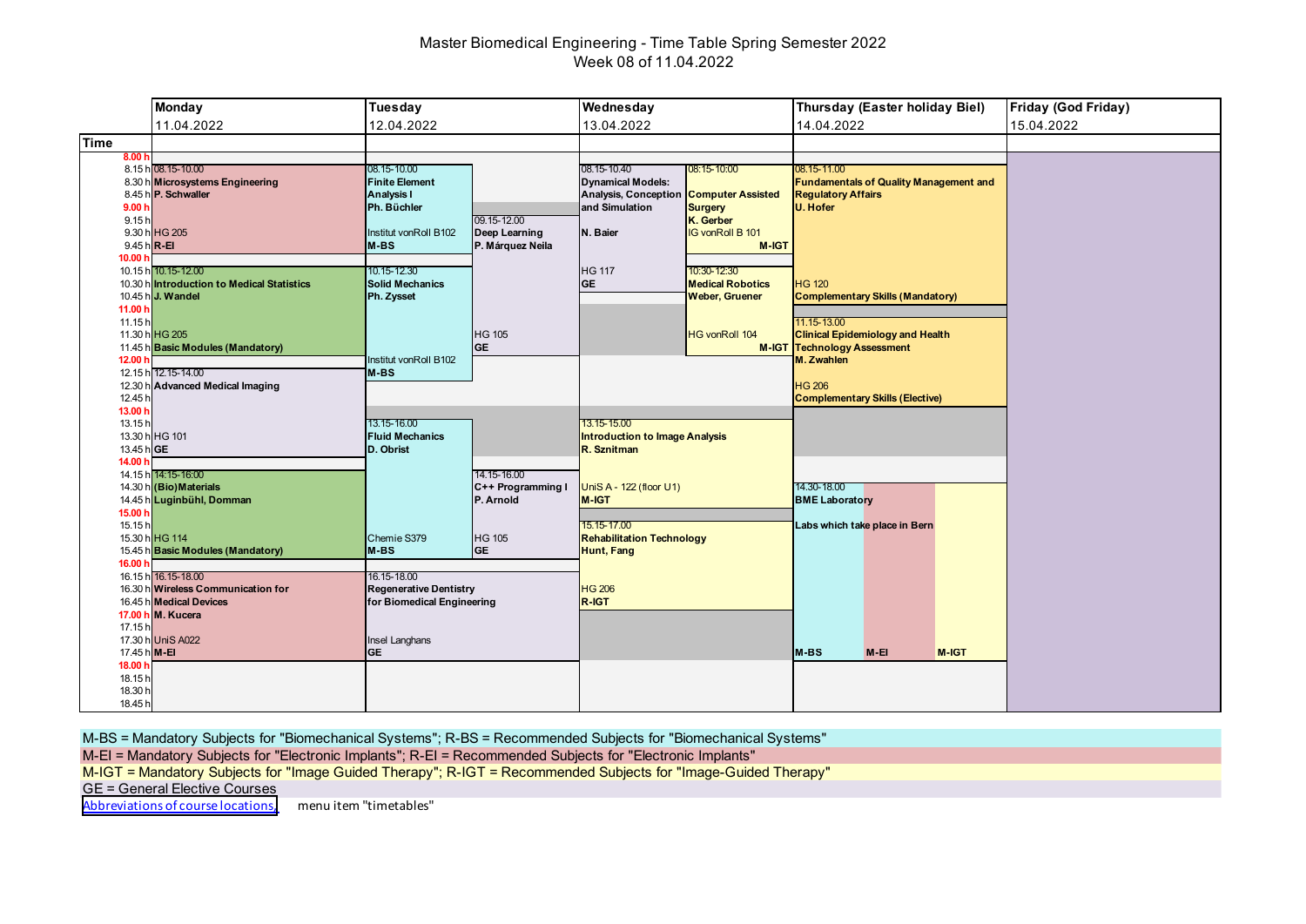# Master Biomedical Engineering - Time Table Spring Semester 2022 Week 08 of 11.04.2022

|                    | <b>Monday</b>                                           | Tuesday                          |                   | Wednesday                                                |                         | Thursday (Easter holiday Biel)                | <b>Friday (God Friday)</b> |
|--------------------|---------------------------------------------------------|----------------------------------|-------------------|----------------------------------------------------------|-------------------------|-----------------------------------------------|----------------------------|
|                    | 11.04.2022                                              | 12.04.2022                       |                   | 13.04.2022                                               |                         | 14.04.2022                                    | 15.04.2022                 |
| <b>Time</b>        |                                                         |                                  |                   |                                                          |                         |                                               |                            |
| 8.00h              |                                                         |                                  |                   |                                                          |                         |                                               |                            |
|                    | 8.15 h 08.15-10.00                                      | 08.15-10.00                      |                   | 08.15-10.40                                              | 08:15-10:00             | 08.15-11.00                                   |                            |
|                    | 8.30 h Microsystems Engineering                         | <b>Finite Element</b>            |                   | <b>Dynamical Models:</b>                                 |                         | <b>Fundamentals of Quality Management and</b> |                            |
| 9.00h              | 8.45 h P. Schwaller                                     | <b>Analysis I</b><br>Ph. Büchler |                   | Analysis, Conception Computer Assisted<br>and Simulation | <b>Surgery</b>          | <b>Regulatory Affairs</b><br>U. Hofer         |                            |
| 9.15h              |                                                         |                                  | 09.15-12.00       |                                                          | K. Gerber               |                                               |                            |
|                    | 9.30 h HG 205                                           | Institut vonRoll B102            | Deep Learning     | N. Baier                                                 | <b>IG vonRoll B 101</b> |                                               |                            |
| 9.45 h R-EI        |                                                         | <b>M-BS</b>                      | P. Márquez Neila  |                                                          | <b>M-IGT</b>            |                                               |                            |
| 10.00 h            |                                                         |                                  |                   |                                                          |                         |                                               |                            |
|                    | 10.15 h 10.15-12.00                                     | 10.15-12.30                      |                   | <b>HG 117</b>                                            | 10:30-12:30             |                                               |                            |
|                    | 10.30 h Introduction to Medical Statistics              | <b>Solid Mechanics</b>           |                   | <b>GE</b>                                                | <b>Medical Robotics</b> | <b>HG 120</b>                                 |                            |
|                    | 10.45 h J. Wandel                                       | Ph. Zysset                       |                   |                                                          | <b>Weber, Gruener</b>   | <b>Complementary Skills (Mandatory)</b>       |                            |
| 11.00 h            |                                                         |                                  |                   |                                                          |                         |                                               |                            |
| 11.15h             |                                                         |                                  |                   |                                                          |                         | 11.15-13.00                                   |                            |
|                    | 11.30 h HG 205                                          |                                  | <b>HG 105</b>     |                                                          | <b>HG vonRoll 104</b>   | <b>Clinical Epidemiology and Health</b>       |                            |
|                    | 11.45 h Basic Modules (Mandatory)                       |                                  | <b>GE</b>         |                                                          |                         | <b>M-IGT Technology Assessment</b>            |                            |
| 12.00 <sub>h</sub> |                                                         | Institut vonRoll B102            |                   |                                                          |                         | M. Zwahlen                                    |                            |
|                    | 12.15 h 12.15-14.00<br>12.30 h Advanced Medical Imaging | $M-BS$                           |                   |                                                          |                         | <b>HG 206</b>                                 |                            |
| 12.45 h            |                                                         |                                  |                   |                                                          |                         | <b>Complementary Skills (Elective)</b>        |                            |
| 13.00 h            |                                                         |                                  |                   |                                                          |                         |                                               |                            |
| 13.15h             |                                                         | 13.15-16.00                      |                   | 13.15-15.00                                              |                         |                                               |                            |
|                    | 13.30 h HG 101                                          | <b>Fluid Mechanics</b>           |                   | <b>Introduction to Image Analysis</b>                    |                         |                                               |                            |
| 13.45 hGE          |                                                         | D. Obrist                        |                   | R. Sznitman                                              |                         |                                               |                            |
| 14.00 h            |                                                         |                                  |                   |                                                          |                         |                                               |                            |
|                    | 14.15 h 14:15-16:00                                     |                                  | 14.15-16.00       |                                                          |                         |                                               |                            |
|                    | 14.30 h (Bio) Materials                                 |                                  | C++ Programming I | UniS A - 122 (floor U1)                                  |                         | 14.30-18.00                                   |                            |
|                    | 14.45 h Luginbühl, Domman                               |                                  | P. Arnold         | M-IGT                                                    |                         | <b>BME Laboratory</b>                         |                            |
| 15.00 h            |                                                         |                                  |                   |                                                          |                         |                                               |                            |
| 15.15h             |                                                         |                                  |                   | 15.15-17.00                                              |                         | Labs which take place in Bern                 |                            |
|                    | 15.30 h HG 114                                          | Chemie S379                      | HG 105            | <b>Rehabilitation Technology</b>                         |                         |                                               |                            |
| 16.00 h            | 15.45 h Basic Modules (Mandatory)                       | M-BS                             | <b>GE</b>         | <b>Hunt, Fang</b>                                        |                         |                                               |                            |
|                    | 16.15 h 16.15-18.00                                     | 16.15-18.00                      |                   |                                                          |                         |                                               |                            |
|                    | 16.30 h Wireless Communication for                      | <b>Regenerative Dentistry</b>    |                   | <b>HG 206</b>                                            |                         |                                               |                            |
|                    | 16.45 h Medical Devices                                 | for Biomedical Engineering       |                   | R-IGT                                                    |                         |                                               |                            |
|                    | 17.00 h M. Kucera                                       |                                  |                   |                                                          |                         |                                               |                            |
| 17.15 h            |                                                         |                                  |                   |                                                          |                         |                                               |                            |
|                    | 17.30 h UniS A022                                       | Insel Langhans                   |                   |                                                          |                         |                                               |                            |
| 17.45 h M-EI       |                                                         | <b>GE</b>                        |                   |                                                          |                         | M-BS<br>$M-EI$<br>M-IGT                       |                            |
| 18.00 h            |                                                         |                                  |                   |                                                          |                         |                                               |                            |
| 18.15h             |                                                         |                                  |                   |                                                          |                         |                                               |                            |
| 18.30 h            |                                                         |                                  |                   |                                                          |                         |                                               |                            |
| 18.45 h            |                                                         |                                  |                   |                                                          |                         |                                               |                            |

M-BS = Mandatory Subjects for "Biomechanical Systems"; R-BS = Recommended Subjects for "Biomechanical Systems"

M-EI = Mandatory Subjects for "Electronic Implants"; R-EI = Recommended Subjects for "Electronic Implants"

M-IGT = Mandatory Subjects for "Image Guided Therapy"; R-IGT = Recommended Subjects for "Image-Guided Therapy"

GE = General Elective Courses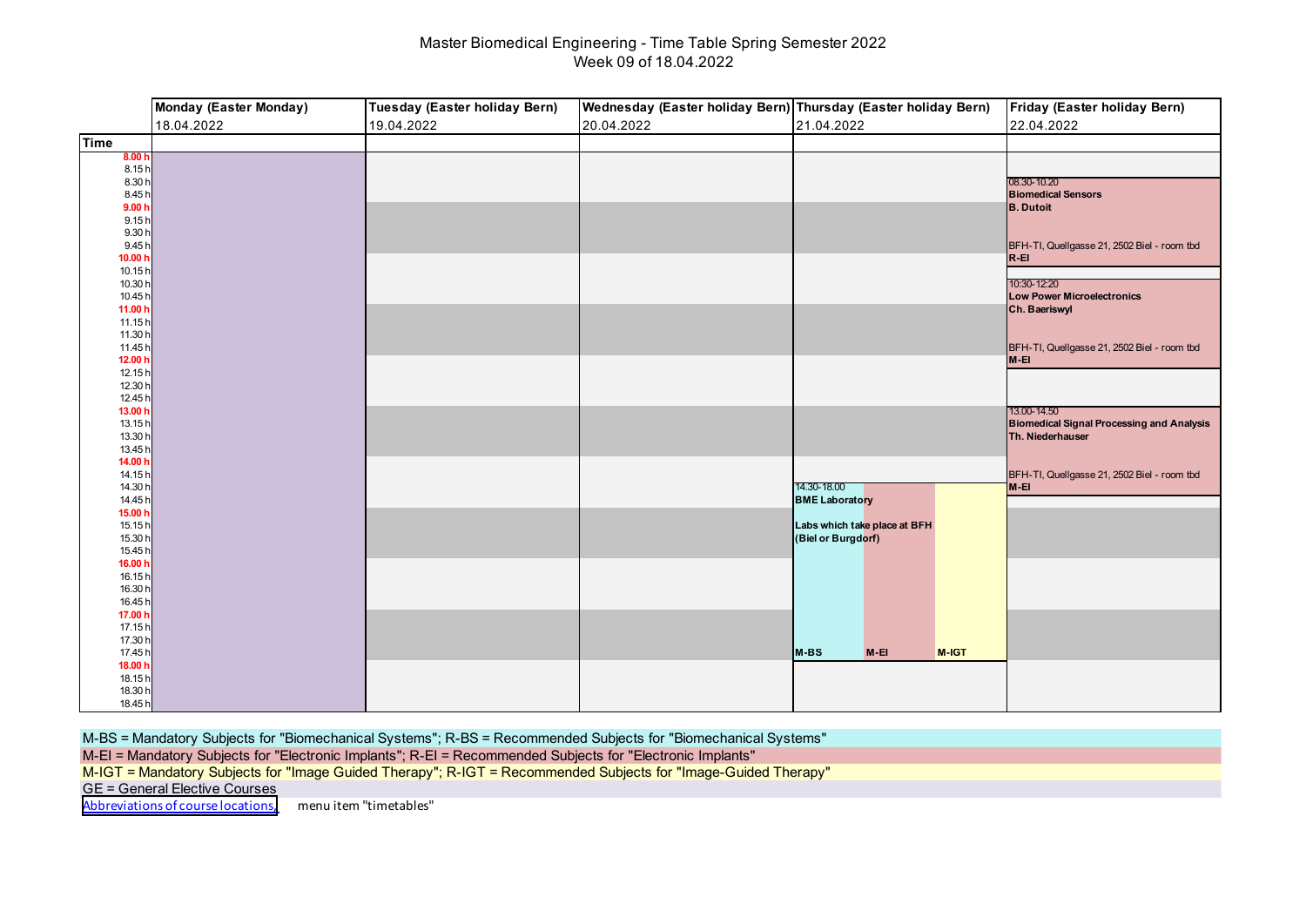# Master Biomedical Engineering - Time Table Spring Semester 2022 Week 09 of 18.04.2022

|                    | Monday (Easter Monday) | Tuesday (Easter holiday Bern) | Wednesday (Easter holiday Bern) Thursday (Easter holiday Bern) |                              | Friday (Easter holiday Bern)                          |
|--------------------|------------------------|-------------------------------|----------------------------------------------------------------|------------------------------|-------------------------------------------------------|
|                    | 18.04.2022             | 19.04.2022                    | 20.04.2022                                                     | 21.04.2022                   | 22.04.2022                                            |
| <b>Time</b>        |                        |                               |                                                                |                              |                                                       |
| 8.00 h             |                        |                               |                                                                |                              |                                                       |
| 8.15 h<br>8.30 h   |                        |                               |                                                                |                              | 08.30-10.20                                           |
| 8.45h              |                        |                               |                                                                |                              | <b>Biomedical Sensors</b>                             |
| 9.00 <sub>h</sub>  |                        |                               |                                                                |                              | <b>B.</b> Dutoit                                      |
| 9.15h              |                        |                               |                                                                |                              |                                                       |
| 9.30 h<br>9.45 h   |                        |                               |                                                                |                              | BFH-TI, Quellgasse 21, 2502 Biel - room tbd           |
| 10.00 h            |                        |                               |                                                                |                              | $R - EI$                                              |
| 10.15 h            |                        |                               |                                                                |                              |                                                       |
| 10.30 h            |                        |                               |                                                                |                              | 10:30-12:20                                           |
| 10.45 h            |                        |                               |                                                                |                              | <b>Low Power Microelectronics</b>                     |
| 11.00 h<br>11.15h  |                        |                               |                                                                |                              | Ch. Baeriswyl                                         |
| 11.30 h            |                        |                               |                                                                |                              |                                                       |
| 11.45h             |                        |                               |                                                                |                              | BFH-TI, Quellgasse 21, 2502 Biel - room tbd           |
| 12.00 h            |                        |                               |                                                                |                              | $M-EI$                                                |
| 12.15 h            |                        |                               |                                                                |                              |                                                       |
| 12.30 h<br>12.45 h |                        |                               |                                                                |                              |                                                       |
| 13.00 h            |                        |                               |                                                                |                              | 13.00-14.50                                           |
| 13.15h             |                        |                               |                                                                |                              | <b>Biomedical Signal Processing and Analysis</b>      |
| 13.30 h            |                        |                               |                                                                |                              | Th. Niederhauser                                      |
| 13.45 h            |                        |                               |                                                                |                              |                                                       |
| 14.00 h<br>14.15 h |                        |                               |                                                                |                              |                                                       |
| 14.30 h            |                        |                               |                                                                | 14.30-18.00                  | BFH-TI, Quellgasse 21, 2502 Biel - room tbd<br>$M-EI$ |
| 14.45 h            |                        |                               |                                                                | <b>BME Laboratory</b>        |                                                       |
| 15.00 h            |                        |                               |                                                                |                              |                                                       |
| 15.15h             |                        |                               |                                                                | Labs which take place at BFH |                                                       |
| 15.30 h<br>15.45 h |                        |                               |                                                                | (Biel or Burgdorf)           |                                                       |
| 16.00 h            |                        |                               |                                                                |                              |                                                       |
| 16.15h             |                        |                               |                                                                |                              |                                                       |
| 16.30 h            |                        |                               |                                                                |                              |                                                       |
| 16.45 h            |                        |                               |                                                                |                              |                                                       |
| 17.00 h<br>17.15h  |                        |                               |                                                                |                              |                                                       |
| 17.30 h            |                        |                               |                                                                |                              |                                                       |
| 17.45 h            |                        |                               |                                                                | M-BS<br>$M-EI$<br>M-IGT      |                                                       |
| 18.00 h            |                        |                               |                                                                |                              |                                                       |
| 18.15 h            |                        |                               |                                                                |                              |                                                       |
| 18.30 h            |                        |                               |                                                                |                              |                                                       |
| 18.45 h            |                        |                               |                                                                |                              |                                                       |

M-BS = Mandatory Subjects for "Biomechanical Systems"; R-BS = Recommended Subjects for "Biomechanical Systems"

M-EI = Mandatory Subjects for "Electronic Implants"; R-EI = Recommended Subjects for "Electronic Implants"

M-IGT = Mandatory Subjects for "Image Guided Therapy"; R-IGT = Recommended Subjects for "Image-Guided Therapy"

GE = General Elective Courses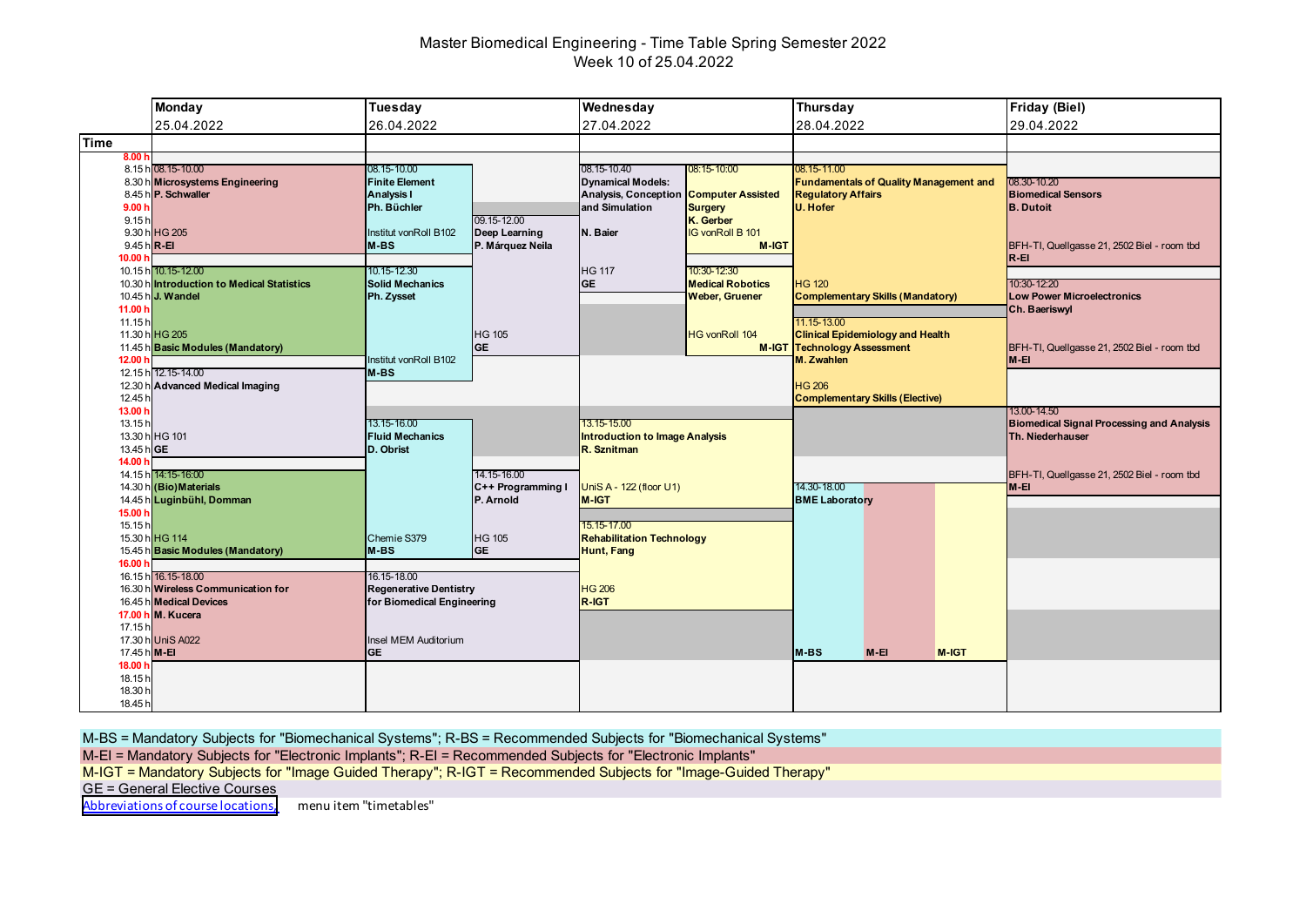# Master Biomedical Engineering - Time Table Spring Semester 2022 Week 10 of 25.04.2022

|                   | <b>Monday</b>                                                  | Tuesday                                    |                                   | Wednesday                                               | Thursday                                         |                                                  |                                               |       | <b>Friday (Biel)</b>                                                 |
|-------------------|----------------------------------------------------------------|--------------------------------------------|-----------------------------------|---------------------------------------------------------|--------------------------------------------------|--------------------------------------------------|-----------------------------------------------|-------|----------------------------------------------------------------------|
|                   | 25.04.2022                                                     | 26.04.2022                                 |                                   | 27.04.2022                                              |                                                  | 28.04.2022                                       |                                               |       | 29.04.2022                                                           |
| <b>Time</b>       |                                                                |                                            |                                   |                                                         |                                                  |                                                  |                                               |       |                                                                      |
| 8.00 h            | 8.15 h 08.15-10.00                                             | 08.15-10.00                                |                                   | 08.15-10.40                                             | 08:15-10:00                                      | 08.15-11.00                                      |                                               |       |                                                                      |
|                   | 8.30 h Microsystems Engineering<br>8.45 h P. Schwaller         | <b>Finite Element</b><br><b>Analysis I</b> |                                   | <b>Dynamical Models:</b><br><b>Analysis, Conception</b> | <b>Computer Assisted</b>                         | <b>Regulatory Affairs</b>                        | <b>Fundamentals of Quality Management and</b> |       | 08.30-10.20<br><b>Biomedical Sensors</b>                             |
| 9.00h             |                                                                | Ph. Büchler                                |                                   | and Simulation                                          | <b>Surgery</b>                                   | U. Hofer                                         |                                               |       | <b>B.</b> Dutoit                                                     |
| 9.15h             | 9.30 h HG 205                                                  |                                            | 09.15-12.00                       |                                                         | K. Gerber<br><b>IG vonRoll B 101</b>             |                                                  |                                               |       |                                                                      |
| 9.45 h R-EI       |                                                                | Institut vonRoll B102<br>$M-BS$            | Deep Learning<br>P. Márquez Neila | N. Baier                                                | M-IGT                                            |                                                  |                                               |       | BFH-TI, Quellgasse 21, 2502 Biel - room tbd                          |
| 10.00 h           |                                                                |                                            |                                   |                                                         |                                                  |                                                  |                                               |       | $R - EI$                                                             |
|                   | 10.15 h 10.15-12.00                                            | 10.15-12.30                                |                                   | <b>HG 117</b>                                           | 10:30-12:30                                      |                                                  |                                               |       |                                                                      |
|                   | 10.30 hintroduction to Medical Statistics<br>10.45 h J. Wandel | <b>Solid Mechanics</b><br>Ph. Zysset       |                                   | <b>GE</b>                                               | <b>Medical Robotics</b><br><b>Weber, Gruener</b> | <b>HG 120</b>                                    | <b>Complementary Skills (Mandatory)</b>       |       | 10:30-12:20<br><b>Low Power Microelectronics</b>                     |
| 11.00 h           |                                                                |                                            |                                   |                                                         |                                                  |                                                  |                                               |       | Ch. Baeriswyl                                                        |
| 11.15h            |                                                                |                                            |                                   |                                                         |                                                  | 11.15-13.00                                      |                                               |       |                                                                      |
|                   | 11.30 h HG 205                                                 |                                            | <b>HG 105</b>                     |                                                         | <b>HG vonRoll 104</b>                            |                                                  | <b>Clinical Epidemiology and Health</b>       |       |                                                                      |
|                   | 11.45 h Basic Modules (Mandatory)                              | Institut vonRoll B102                      | <b>GE</b>                         |                                                         |                                                  | <b>M-IGT Technology Assessment</b><br>M. Zwahlen |                                               |       | BFH-TI, Quellgasse 21, 2502 Biel - room tbd                          |
| 12.00 h           | 12.15 h 12.15-14.00                                            | $M-BS$                                     |                                   |                                                         |                                                  |                                                  |                                               |       | M-EI                                                                 |
| 12.30 h           | <b>Advanced Medical Imaging</b>                                |                                            |                                   |                                                         |                                                  | <b>HG 206</b>                                    |                                               |       |                                                                      |
| 12.45 h           |                                                                |                                            |                                   |                                                         |                                                  |                                                  | <b>Complementary Skills (Elective)</b>        |       |                                                                      |
| 13.00 h           |                                                                | 13.15-16.00                                |                                   | 13.15-15.00                                             |                                                  |                                                  |                                               |       | 13.00-14.50                                                          |
| 13.15h            | 13.30 h HG 101                                                 | <b>Fluid Mechanics</b>                     |                                   | <b>Introduction to Image Analysis</b>                   |                                                  |                                                  |                                               |       | <b>Biomedical Signal Processing and Analysis</b><br>Th. Niederhauser |
| 13.45 h GE        |                                                                | D. Obrist                                  |                                   | R. Sznitman                                             |                                                  |                                                  |                                               |       |                                                                      |
| 14.00 h           |                                                                |                                            |                                   |                                                         |                                                  |                                                  |                                               |       |                                                                      |
|                   | 14.15 h 14:15-16:00<br>14.30 h (Bio) Materials                 |                                            | 14.15-16.00<br>C++ Programming I  | UniS A - 122 (floor U1)                                 |                                                  | 14.30-18.00                                      |                                               |       | BFH-TI, Quellgasse 21, 2502 Biel - room tbd<br>M-EI                  |
|                   | 14.45 h Luginbühl, Domman                                      |                                            | P. Arnold                         | <b>M-IGT</b>                                            |                                                  | <b>BME Laboratory</b>                            |                                               |       |                                                                      |
| 15.00 h           |                                                                |                                            |                                   |                                                         |                                                  |                                                  |                                               |       |                                                                      |
| 15.15h            |                                                                |                                            |                                   | 15.15-17.00                                             |                                                  |                                                  |                                               |       |                                                                      |
|                   | 15.30 h HG 114                                                 | Chemie S379<br>M-BS                        | <b>HG 105</b><br><b>GE</b>        | <b>Rehabilitation Technology</b>                        |                                                  |                                                  |                                               |       |                                                                      |
| 16.00 h           | 15.45 h Basic Modules (Mandatory)                              |                                            |                                   | <b>Hunt, Fang</b>                                       |                                                  |                                                  |                                               |       |                                                                      |
|                   | 16.15 h 16.15-18.00                                            | 16.15-18.00                                |                                   |                                                         |                                                  |                                                  |                                               |       |                                                                      |
|                   | 16.30 h Wireless Communication for                             | <b>Regenerative Dentistry</b>              |                                   | <b>HG 206</b>                                           |                                                  |                                                  |                                               |       |                                                                      |
|                   | 16.45 h Medical Devices<br>17.00 h M. Kucera                   | for Biomedical Engineering                 |                                   | R-IGT                                                   |                                                  |                                                  |                                               |       |                                                                      |
| 17.15h            |                                                                |                                            |                                   |                                                         |                                                  |                                                  |                                               |       |                                                                      |
|                   | 17.30 h UniS A022                                              | <b>Insel MEM Auditorium</b>                |                                   |                                                         |                                                  |                                                  |                                               |       |                                                                      |
| 17.45 h M-EI      |                                                                | <b>GE</b>                                  |                                   |                                                         |                                                  | <b>M-BS</b>                                      | $M-EI$                                        | M-IGT |                                                                      |
| 18.00 h<br>18.15h |                                                                |                                            |                                   |                                                         |                                                  |                                                  |                                               |       |                                                                      |
| 18.30 h           |                                                                |                                            |                                   |                                                         |                                                  |                                                  |                                               |       |                                                                      |
| 18.45 h           |                                                                |                                            |                                   |                                                         |                                                  |                                                  |                                               |       |                                                                      |

M-BS = Mandatory Subjects for "Biomechanical Systems"; R-BS = Recommended Subjects for "Biomechanical Systems"

M-EI = Mandatory Subjects for "Electronic Implants"; R-EI = Recommended Subjects for "Electronic Implants"

M-IGT = Mandatory Subjects for "Image Guided Therapy"; R-IGT = Recommended Subjects for "Image-Guided Therapy"

GE = General Elective Courses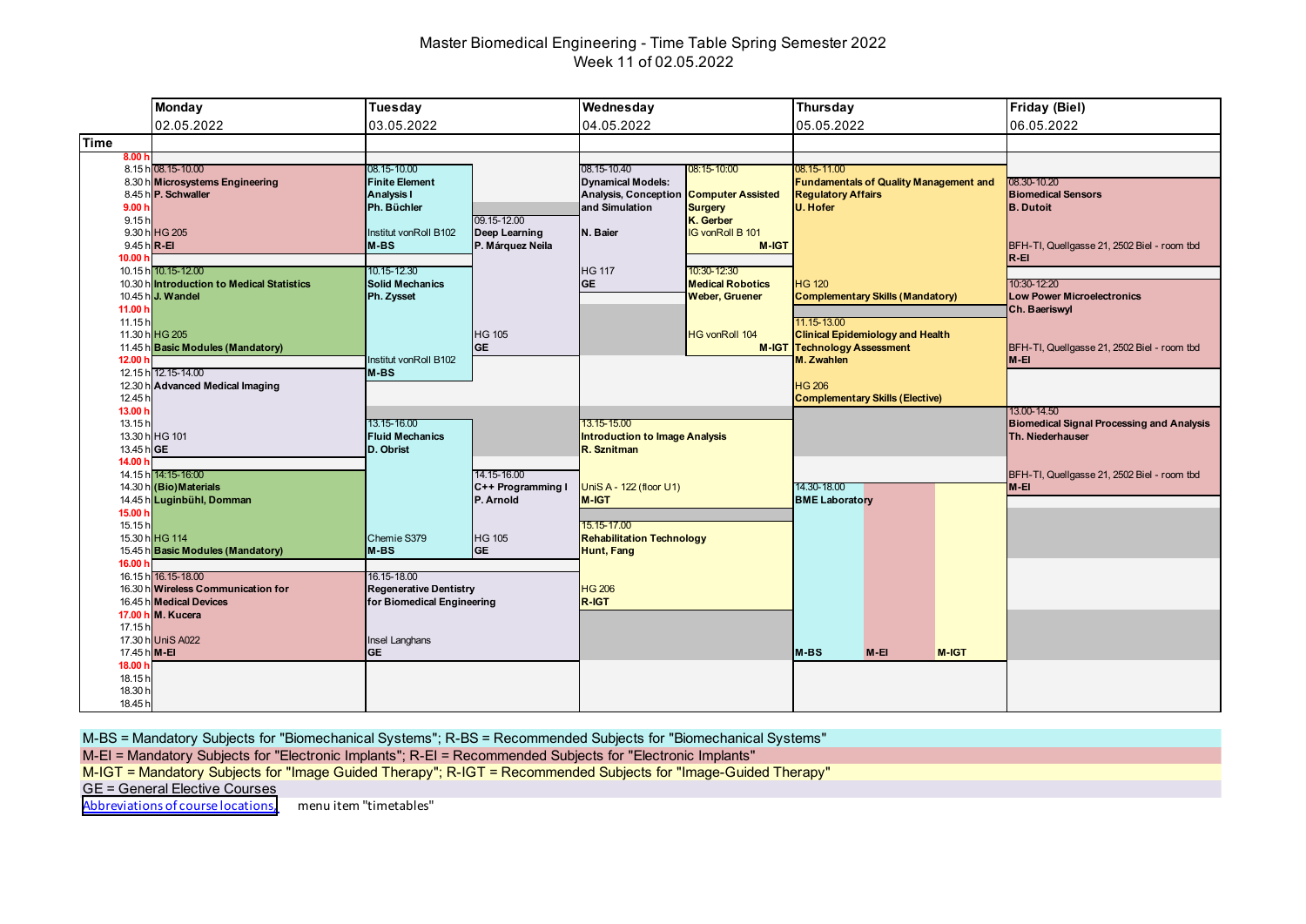# Master Biomedical Engineering - Time Table Spring Semester 2022 Week 11 of 02.05.2022

|                         | <b>Monday</b>                                             | Tuesday                                      |                                   | Wednesday                                               |                                  | Thursday                           |                                               |       | Friday (Biel)                                      |
|-------------------------|-----------------------------------------------------------|----------------------------------------------|-----------------------------------|---------------------------------------------------------|----------------------------------|------------------------------------|-----------------------------------------------|-------|----------------------------------------------------|
|                         | 02.05.2022                                                | 03.05.2022                                   |                                   | 04.05.2022                                              |                                  | 05.05.2022                         |                                               |       | 06.05.2022                                         |
| <b>Time</b>             |                                                           |                                              |                                   |                                                         |                                  |                                    |                                               |       |                                                    |
| 8.00h                   | 8.15 h 08.15-10.00                                        | 08.15-10.00                                  |                                   | 08.15-10.40                                             | 08:15-10:00                      | 08.15-11.00                        |                                               |       |                                                    |
|                         | 8.30 h Microsystems Engineering<br>8.45 h P. Schwaller    | <b>Finite Element</b><br><b>Analysis I</b>   |                                   | <b>Dynamical Models:</b><br><b>Analysis, Conception</b> | <b>Computer Assisted</b>         | <b>Regulatory Affairs</b>          | <b>Fundamentals of Quality Management and</b> |       | 08.30-10.20<br><b>Biomedical Sensors</b>           |
| 9.00h                   |                                                           | Ph. Büchler                                  |                                   | and Simulation                                          | <b>Surgery</b>                   | U. Hofer                           |                                               |       | <b>B.</b> Dutoit                                   |
| 9.15h                   |                                                           |                                              | 09.15-12.00                       |                                                         | K. Gerber                        |                                    |                                               |       |                                                    |
| 9.45 h R-EI             | 9.30 h HG 205                                             | Institut vonRoll B102<br>$M-BS$              | Deep Learning<br>P. Márquez Neila | N. Baier                                                | IG vonRoll B 101<br><b>M-IGT</b> |                                    |                                               |       | BFH-TI, Quellgasse 21, 2502 Biel - room tbd        |
| 10.00 h                 |                                                           |                                              |                                   |                                                         |                                  |                                    |                                               |       | $R - EI$                                           |
|                         | 10.15 h 10.15-12.00                                       | 10.15-12.30                                  |                                   | <b>HG 117</b>                                           | 10:30-12:30                      |                                    |                                               |       |                                                    |
|                         | 10.30 hintroduction to Medical Statistics                 | <b>Solid Mechanics</b>                       |                                   | <b>GE</b>                                               | <b>Medical Robotics</b>          | <b>HG 120</b>                      |                                               |       | 10:30-12:20                                        |
| 11.00 h                 | 10.45 h J. Wandel                                         | Ph. Zysset                                   |                                   |                                                         | <b>Weber, Gruener</b>            |                                    | <b>Complementary Skills (Mandatory)</b>       |       | <b>Low Power Microelectronics</b><br>Ch. Baeriswyl |
| 11.15h                  |                                                           |                                              |                                   |                                                         |                                  | 11.15-13.00                        |                                               |       |                                                    |
|                         | 11.30 h HG 205                                            |                                              | <b>HG 105</b>                     |                                                         | <b>HG vonRoll 104</b>            |                                    | <b>Clinical Epidemiology and Health</b>       |       |                                                    |
|                         | 11.45 h Basic Modules (Mandatory)                         |                                              | <b>GE</b>                         |                                                         |                                  | <b>M-IGT Technology Assessment</b> |                                               |       | BFH-TI, Quellgasse 21, 2502 Biel - room tbd        |
| 12.00 h                 | 12.15 h 12.15-14.00                                       | Institut vonRoll B102<br>$M-BS$              |                                   |                                                         |                                  | M. Zwahlen                         |                                               |       | M-EI                                               |
| 12.30 h                 | h Advanced Medical Imaging                                |                                              |                                   |                                                         |                                  | <b>HG 206</b>                      |                                               |       |                                                    |
| 12.45 h                 |                                                           |                                              |                                   |                                                         |                                  |                                    | <b>Complementary Skills (Elective)</b>        |       |                                                    |
| 13.00 h                 |                                                           |                                              |                                   |                                                         |                                  |                                    |                                               |       | 13.00-14.50                                        |
| 13.15h                  |                                                           | 13.15-16.00                                  |                                   | 13.15-15.00                                             |                                  |                                    |                                               |       | <b>Biomedical Signal Processing and Analysis</b>   |
| 13.45 h GE              | 13.30 h HG 101                                            | <b>Fluid Mechanics</b><br>D. Obrist          |                                   | <b>Introduction to Image Analysis</b><br>R. Sznitman    |                                  |                                    |                                               |       | Th. Niederhauser                                   |
| 14.00 h                 |                                                           |                                              |                                   |                                                         |                                  |                                    |                                               |       |                                                    |
|                         | 14.15 h 14:15-16:00                                       |                                              | 14.15-16.00                       |                                                         |                                  |                                    |                                               |       | BFH-TI, Quellgasse 21, 2502 Biel - room tbd        |
|                         | 14.30 h (Bio) Materials                                   |                                              | C++ Programming I                 | UniS A - 122 (floor U1)                                 |                                  | 14.30-18.00                        |                                               |       | M-EI                                               |
|                         | 14.45 h Luginbühl, Domman                                 |                                              | P. Arnold                         | <b>M-IGT</b>                                            |                                  | <b>BME Laboratory</b>              |                                               |       |                                                    |
| 15.00 h<br>15.15h       |                                                           |                                              |                                   | 15.15-17.00                                             |                                  |                                    |                                               |       |                                                    |
|                         | 15.30 h HG 114                                            | Chemie S379                                  | <b>HG 105</b>                     | <b>Rehabilitation Technology</b>                        |                                  |                                    |                                               |       |                                                    |
|                         | 15.45 h Basic Modules (Mandatory)                         | M-BS                                         | <b>GE</b>                         | <b>Hunt, Fang</b>                                       |                                  |                                    |                                               |       |                                                    |
| 16.00 h                 |                                                           |                                              |                                   |                                                         |                                  |                                    |                                               |       |                                                    |
|                         | 16.15 h 16.15-18.00<br>16.30 h Wireless Communication for | 16.15-18.00<br><b>Regenerative Dentistry</b> |                                   | <b>HG 206</b>                                           |                                  |                                    |                                               |       |                                                    |
|                         | 16.45 h Medical Devices                                   | for Biomedical Engineering                   |                                   | R-IGT                                                   |                                  |                                    |                                               |       |                                                    |
|                         | 17.00 h M. Kucera                                         |                                              |                                   |                                                         |                                  |                                    |                                               |       |                                                    |
| 17.15h                  |                                                           |                                              |                                   |                                                         |                                  |                                    |                                               |       |                                                    |
|                         | 17.30 h UniS A022                                         | Insel Langhans                               |                                   |                                                         |                                  |                                    |                                               |       |                                                    |
| 17.45 h M-EI<br>18.00 h |                                                           | <b>GE</b>                                    |                                   |                                                         |                                  | <b>M-BS</b>                        | $M-EI$                                        | M-IGT |                                                    |
| 18.15h                  |                                                           |                                              |                                   |                                                         |                                  |                                    |                                               |       |                                                    |
| 18.30 h                 |                                                           |                                              |                                   |                                                         |                                  |                                    |                                               |       |                                                    |
| 18.45 h                 |                                                           |                                              |                                   |                                                         |                                  |                                    |                                               |       |                                                    |

M-BS = Mandatory Subjects for "Biomechanical Systems"; R-BS = Recommended Subjects for "Biomechanical Systems"

M-EI = Mandatory Subjects for "Electronic Implants"; R-EI = Recommended Subjects for "Electronic Implants"

M-IGT = Mandatory Subjects for "Image Guided Therapy"; R-IGT = Recommended Subjects for "Image-Guided Therapy"

GE = General Elective Courses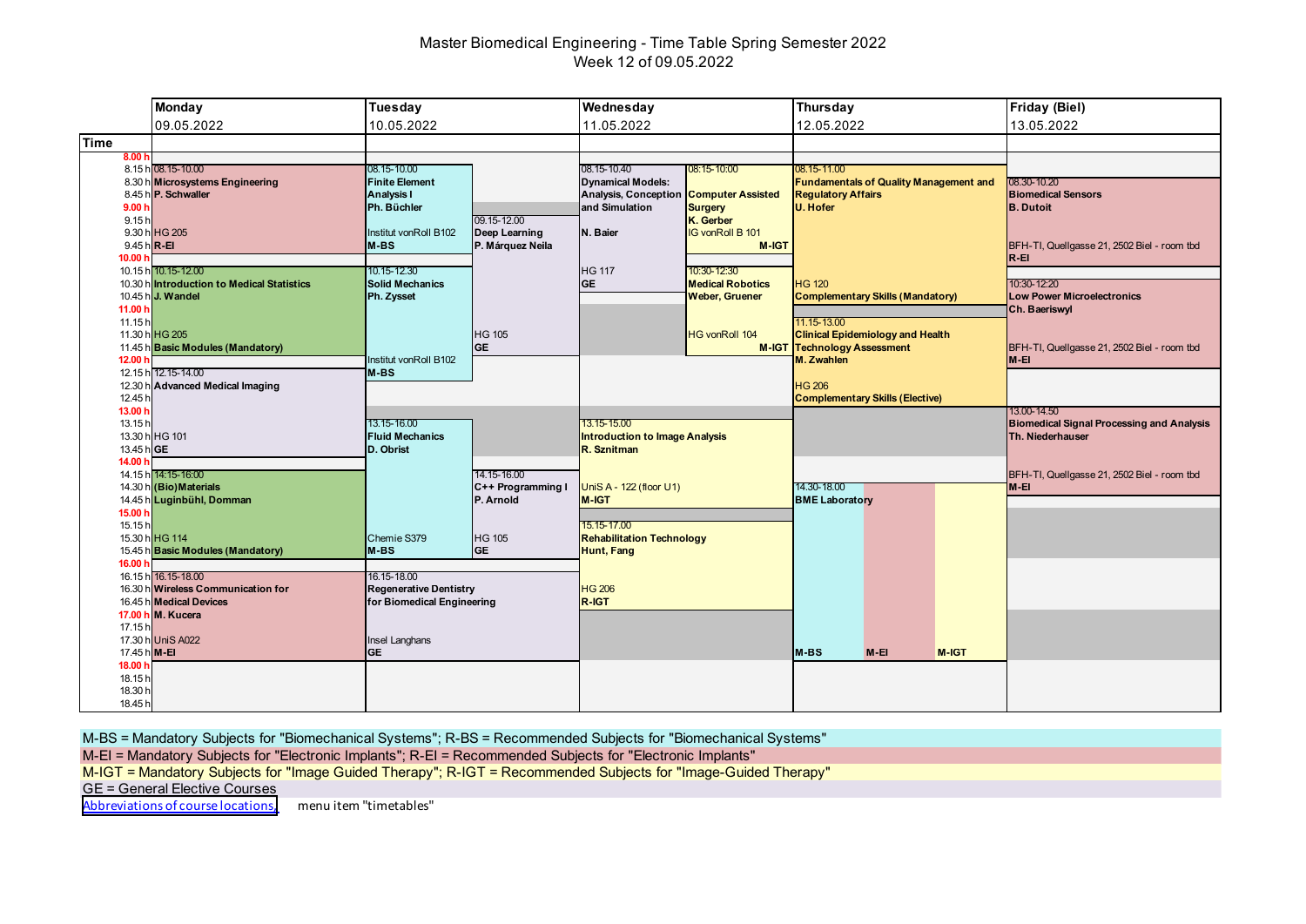# Master Biomedical Engineering - Time Table Spring Semester 2022 Week 12 of 09.05.2022

|                   | <b>Monday</b>                                                                | Tuesday                                                   |                            | Wednesday                                                                                                         |                                        | Thursday                                                                                  |                                         |       | Friday (Biel)                                                        |
|-------------------|------------------------------------------------------------------------------|-----------------------------------------------------------|----------------------------|-------------------------------------------------------------------------------------------------------------------|----------------------------------------|-------------------------------------------------------------------------------------------|-----------------------------------------|-------|----------------------------------------------------------------------|
|                   | 09.05.2022                                                                   | 10.05.2022                                                |                            | 11.05.2022                                                                                                        |                                        | 12.05.2022                                                                                |                                         |       | 13.05.2022                                                           |
| <b>Time</b>       |                                                                              |                                                           |                            |                                                                                                                   |                                        |                                                                                           |                                         |       |                                                                      |
| 8.00h             |                                                                              |                                                           |                            |                                                                                                                   |                                        |                                                                                           |                                         |       |                                                                      |
|                   | 8.15 h 08.15-10.00<br>8.30 h Microsystems Engineering<br>8.45 h P. Schwaller | 08.15-10.00<br><b>Finite Element</b><br><b>Analysis I</b> |                            | 08.15-10.40<br>08:15-10:00<br><b>Dynamical Models:</b><br><b>Analysis, Conception</b><br><b>Computer Assisted</b> |                                        | 08.15-11.00<br><b>Fundamentals of Quality Management and</b><br><b>Regulatory Affairs</b> |                                         |       | 08.30-10.20<br><b>Biomedical Sensors</b>                             |
| 9.00h             |                                                                              | Ph. Büchler                                               | 09.15-12.00                | and Simulation                                                                                                    | <b>Surgery</b>                         | U. Hofer                                                                                  |                                         |       | <b>B.</b> Dutoit                                                     |
| 9.15h             | 9.30 h HG 205                                                                | Institut vonRoll B102                                     | Deep Learning              | N. Baier                                                                                                          | K. Gerber<br>IG vonRoll B 101          |                                                                                           |                                         |       |                                                                      |
|                   | 9.45 h R-EI                                                                  | $M-BS$                                                    | P. Márquez Neila           |                                                                                                                   | <b>M-IGT</b>                           |                                                                                           |                                         |       | BFH-TI, Quellgasse 21, 2502 Biel - room tbd                          |
| 10.00 h           |                                                                              |                                                           |                            |                                                                                                                   |                                        |                                                                                           |                                         |       | $R - EI$                                                             |
|                   | 10.15 h 10.15-12.00<br>10.30 hintroduction to Medical Statistics             | 10.15-12.30<br><b>Solid Mechanics</b>                     |                            | <b>HG 117</b><br><b>GE</b>                                                                                        | 10:30-12:30<br><b>Medical Robotics</b> | <b>HG 120</b>                                                                             |                                         |       | 10:30-12:20                                                          |
|                   | 10.45 h J. Wandel                                                            | Ph. Zysset                                                |                            |                                                                                                                   | <b>Weber, Gruener</b>                  |                                                                                           | <b>Complementary Skills (Mandatory)</b> |       | <b>Low Power Microelectronics</b>                                    |
| 11.00 h           |                                                                              |                                                           |                            |                                                                                                                   |                                        |                                                                                           |                                         |       | Ch. Baeriswyl                                                        |
| 11.15h            |                                                                              |                                                           |                            |                                                                                                                   |                                        | 11.15-13.00                                                                               |                                         |       |                                                                      |
|                   | 11.30 h HG 205                                                               |                                                           | <b>HG 105</b><br><b>GE</b> |                                                                                                                   | <b>HG vonRoll 104</b>                  |                                                                                           | <b>Clinical Epidemiology and Health</b> |       |                                                                      |
| 12.00 h           | 11.45 h Basic Modules (Mandatory)                                            | Institut vonRoll B102                                     |                            |                                                                                                                   |                                        | <b>M-IGT Technology Assessment</b><br>M. Zwahlen                                          |                                         |       | BFH-TI, Quellgasse 21, 2502 Biel - room tbd<br>M-EI                  |
|                   | 12.15 h 12.15-14.00                                                          | $M-BS$                                                    |                            |                                                                                                                   |                                        |                                                                                           |                                         |       |                                                                      |
| 12.30 h           | h Advanced Medical Imaging                                                   |                                                           |                            |                                                                                                                   |                                        | <b>HG 206</b>                                                                             |                                         |       |                                                                      |
| 12.45 h           |                                                                              |                                                           |                            |                                                                                                                   |                                        |                                                                                           | <b>Complementary Skills (Elective)</b>  |       |                                                                      |
| 13.00 h           |                                                                              | 13.15-16.00                                               |                            | 13.15-15.00                                                                                                       |                                        |                                                                                           |                                         |       | 13.00-14.50                                                          |
| 13.15h            | 13.30 h HG 101                                                               | <b>Fluid Mechanics</b>                                    |                            | <b>Introduction to Image Analysis</b>                                                                             |                                        |                                                                                           |                                         |       | <b>Biomedical Signal Processing and Analysis</b><br>Th. Niederhauser |
| 13.45 h GE        |                                                                              | D. Obrist                                                 |                            | R. Sznitman                                                                                                       |                                        |                                                                                           |                                         |       |                                                                      |
| 14.00 h           |                                                                              |                                                           |                            |                                                                                                                   |                                        |                                                                                           |                                         |       |                                                                      |
|                   | 14.15 h 14:15-16:00                                                          |                                                           | 14.15-16.00                |                                                                                                                   |                                        |                                                                                           |                                         |       | BFH-TI, Quellgasse 21, 2502 Biel - room tbd                          |
|                   | 14.30 h (Bio) Materials                                                      |                                                           | C++ Programming I          | UniS A - 122 (floor U1)                                                                                           |                                        | 14.30-18.00                                                                               |                                         |       | M-EI                                                                 |
| 15.00 h           | 14.45 h Luginbühl, Domman                                                    |                                                           | P. Arnold                  | <b>M-IGT</b>                                                                                                      |                                        | <b>BME Laboratory</b>                                                                     |                                         |       |                                                                      |
| 15.15h            |                                                                              |                                                           |                            | 15.15-17.00                                                                                                       |                                        |                                                                                           |                                         |       |                                                                      |
|                   | 15.30 h HG 114                                                               | Chemie S379                                               | <b>HG 105</b>              | <b>Rehabilitation Technology</b>                                                                                  |                                        |                                                                                           |                                         |       |                                                                      |
|                   | 15.45 h Basic Modules (Mandatory)                                            | M-BS                                                      | <b>GE</b>                  | <b>Hunt, Fang</b>                                                                                                 |                                        |                                                                                           |                                         |       |                                                                      |
| 16.00 h           |                                                                              |                                                           |                            |                                                                                                                   |                                        |                                                                                           |                                         |       |                                                                      |
|                   | 16.15 h 16.15-18.00<br>16.30 h Wireless Communication for                    | 16.15-18.00<br><b>Regenerative Dentistry</b>              |                            | <b>HG 206</b>                                                                                                     |                                        |                                                                                           |                                         |       |                                                                      |
|                   | 16.45 h Medical Devices                                                      | for Biomedical Engineering                                |                            | R-IGT                                                                                                             |                                        |                                                                                           |                                         |       |                                                                      |
|                   | 17.00 h M. Kucera                                                            |                                                           |                            |                                                                                                                   |                                        |                                                                                           |                                         |       |                                                                      |
| 17.15h            |                                                                              |                                                           |                            |                                                                                                                   |                                        |                                                                                           |                                         |       |                                                                      |
|                   | 17.30 h UniS A022                                                            | Insel Langhans                                            |                            |                                                                                                                   |                                        |                                                                                           |                                         |       |                                                                      |
|                   | 17.45 h M-EI                                                                 | <b>GE</b>                                                 |                            |                                                                                                                   |                                        | <b>M-BS</b>                                                                               | $M-EI$                                  | M-IGT |                                                                      |
| 18.00 h<br>18.15h |                                                                              |                                                           |                            |                                                                                                                   |                                        |                                                                                           |                                         |       |                                                                      |
| 18.30 h           |                                                                              |                                                           |                            |                                                                                                                   |                                        |                                                                                           |                                         |       |                                                                      |
| 18.45 h           |                                                                              |                                                           |                            |                                                                                                                   |                                        |                                                                                           |                                         |       |                                                                      |

M-BS = Mandatory Subjects for "Biomechanical Systems"; R-BS = Recommended Subjects for "Biomechanical Systems"

M-EI = Mandatory Subjects for "Electronic Implants"; R-EI = Recommended Subjects for "Electronic Implants"

M-IGT = Mandatory Subjects for "Image Guided Therapy"; R-IGT = Recommended Subjects for "Image-Guided Therapy"

GE = General Elective Courses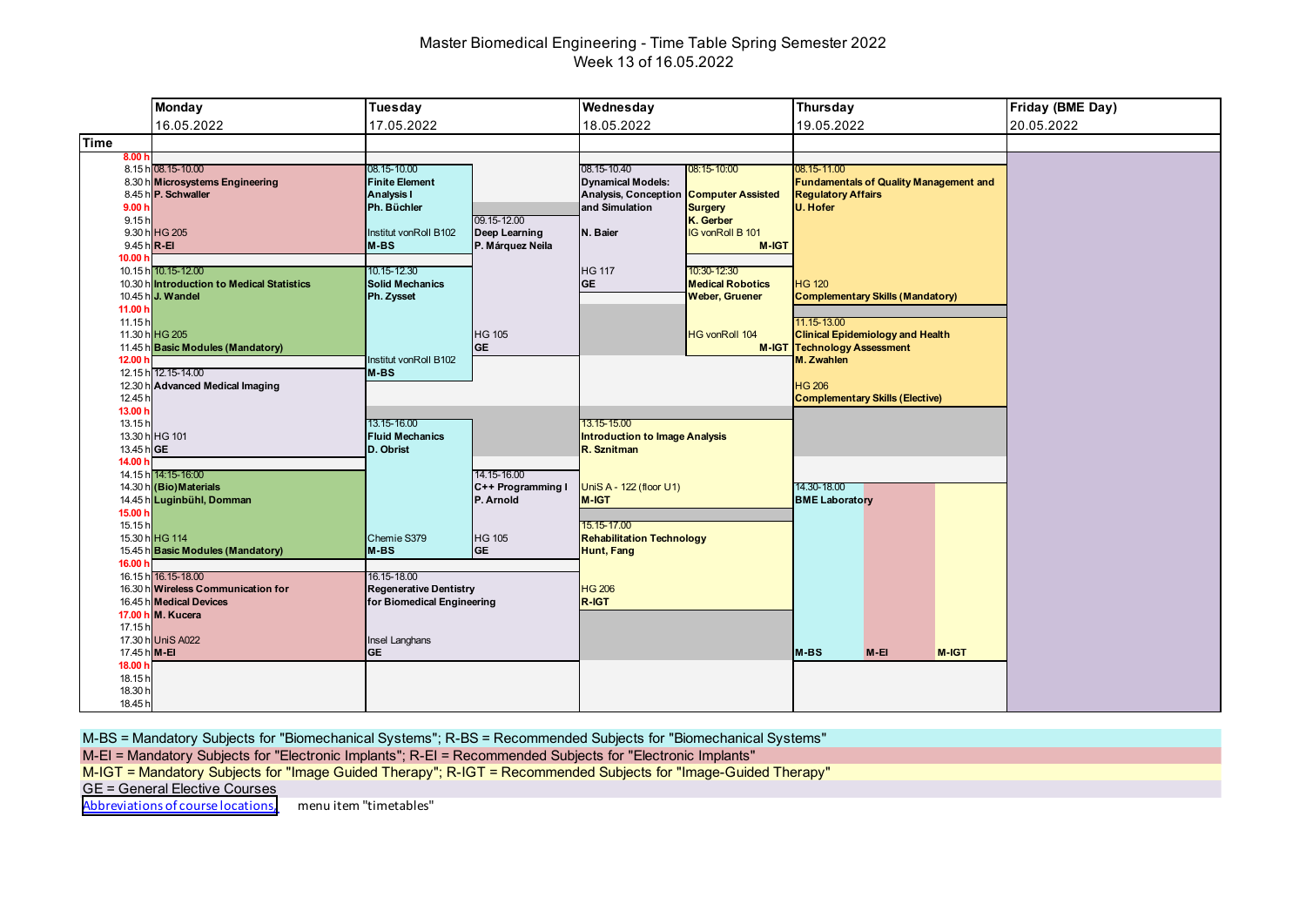# Master Biomedical Engineering - Time Table Spring Semester 2022 Week 13 of 16.05.2022

|                    | <b>Monday</b>                                          | Tuesday                             |                            | Wednesday                                                          |                         | <b>Thursday</b>                                                            |       | Friday (BME Day) |
|--------------------|--------------------------------------------------------|-------------------------------------|----------------------------|--------------------------------------------------------------------|-------------------------|----------------------------------------------------------------------------|-------|------------------|
|                    | 16.05.2022                                             | 17.05.2022                          |                            | 18.05.2022                                                         |                         | 19.05.2022                                                                 |       | 20.05.2022       |
| <b>Time</b>        |                                                        |                                     |                            |                                                                    |                         |                                                                            |       |                  |
| 8.00h              |                                                        |                                     |                            |                                                                    |                         |                                                                            |       |                  |
|                    | 8.15 h 08.15-10.00                                     | 08.15-10.00                         |                            | 08.15-10.40                                                        | 08:15-10:00             | 08.15-11.00                                                                |       |                  |
|                    | 8.30 h Microsystems Engineering<br>8.45 h P. Schwaller | <b>Finite Element</b><br>Analysis I |                            | <b>Dynamical Models:</b><br>Analysis, Conception Computer Assisted |                         | <b>Fundamentals of Quality Management and</b><br><b>Regulatory Affairs</b> |       |                  |
| 9.00h              |                                                        | Ph. Büchler                         |                            | and Simulation                                                     | <b>Surgery</b>          | U. Hofer                                                                   |       |                  |
| 9.15h              |                                                        |                                     | 09.15-12.00                |                                                                    | K. Gerber               |                                                                            |       |                  |
|                    | 9.30 h HG 205                                          | Institut vonRoll B102               | Deep Learning              | N. Baier                                                           | <b>IG vonRoll B 101</b> |                                                                            |       |                  |
| 9.45 h R-EI        |                                                        | M-BS                                | P. Márquez Neila           |                                                                    | <b>M-IGT</b>            |                                                                            |       |                  |
| 10.00 h            |                                                        |                                     |                            |                                                                    |                         |                                                                            |       |                  |
|                    | 10.15 h 10.15-12.00                                    | 10.15-12.30                         |                            | <b>HG 117</b>                                                      | 10:30-12:30             |                                                                            |       |                  |
|                    | 10.30 h Introduction to Medical Statistics             | <b>Solid Mechanics</b>              |                            | <b>GE</b>                                                          | <b>Medical Robotics</b> | <b>HG 120</b>                                                              |       |                  |
|                    | 10.45 h J. Wandel                                      | Ph. Zysset                          |                            |                                                                    | <b>Weber, Gruener</b>   | <b>Complementary Skills (Mandatory)</b>                                    |       |                  |
| 11.00 h            |                                                        |                                     |                            |                                                                    |                         |                                                                            |       |                  |
| 11.15h             |                                                        |                                     |                            |                                                                    |                         | 11.15-13.00                                                                |       |                  |
|                    | 11.30 h HG 205                                         |                                     | <b>HG 105</b>              |                                                                    | <b>HG vonRoll 104</b>   | <b>Clinical Epidemiology and Health</b>                                    |       |                  |
| 12.00 <sub>h</sub> | 11.45 h Basic Modules (Mandatory)                      | Institut vonRoll B102               | <b>GE</b>                  |                                                                    |                         | <b>M-IGT Technology Assessment</b><br>M. Zwahlen                           |       |                  |
|                    | 12.15 h 12.15-14.00                                    | M-BS                                |                            |                                                                    |                         |                                                                            |       |                  |
|                    | 12.30 h Advanced Medical Imaging                       |                                     |                            |                                                                    |                         | <b>HG 206</b>                                                              |       |                  |
| 12.45 h            |                                                        |                                     |                            |                                                                    |                         | <b>Complementary Skills (Elective)</b>                                     |       |                  |
| 13.00 h            |                                                        |                                     |                            |                                                                    |                         |                                                                            |       |                  |
| 13.15h             |                                                        | 13.15-16.00                         |                            | 13.15-15.00                                                        |                         |                                                                            |       |                  |
|                    | 13.30 h HG 101                                         | <b>Fluid Mechanics</b>              |                            | <b>Introduction to Image Analysis</b>                              |                         |                                                                            |       |                  |
| 13.45 hGE          |                                                        | D. Obrist                           |                            | R. Sznitman                                                        |                         |                                                                            |       |                  |
| 14.00 h            |                                                        |                                     |                            |                                                                    |                         |                                                                            |       |                  |
|                    | 14.15 h 14:15-16:00                                    |                                     | 14.15-16.00                |                                                                    |                         |                                                                            |       |                  |
|                    | 14.30 h (Bio) Materials                                |                                     | C++ Programming I          | UniS A - 122 (floor U1)                                            |                         | 14.30-18.00                                                                |       |                  |
|                    | 14.45 h Luginbühl, Domman                              |                                     | P. Arnold                  | <b>M-IGT</b>                                                       |                         | <b>BME Laboratory</b>                                                      |       |                  |
| 15.00 h            |                                                        |                                     |                            |                                                                    |                         |                                                                            |       |                  |
| 15.15h             | 15.30 h HG 114                                         |                                     |                            | 15.15-17.00                                                        |                         |                                                                            |       |                  |
|                    | 15.45 h Basic Modules (Mandatory)                      | Chemie S379<br>M-BS                 | <b>HG 105</b><br><b>GE</b> | <b>Rehabilitation Technology</b>                                   |                         |                                                                            |       |                  |
| 16.00 h            |                                                        |                                     |                            | <b>Hunt, Fang</b>                                                  |                         |                                                                            |       |                  |
|                    | 16.15 h 16.15-18.00                                    | 16.15-18.00                         |                            |                                                                    |                         |                                                                            |       |                  |
|                    | 16.30 h Wireless Communication for                     | <b>Regenerative Dentistry</b>       |                            | <b>HG 206</b>                                                      |                         |                                                                            |       |                  |
|                    | 16.45 h Medical Devices                                | for Biomedical Engineering          |                            | R-IGT                                                              |                         |                                                                            |       |                  |
|                    | 17.00 h M. Kucera                                      |                                     |                            |                                                                    |                         |                                                                            |       |                  |
| 17.15 h            |                                                        |                                     |                            |                                                                    |                         |                                                                            |       |                  |
|                    | 17.30 h UniS A022                                      | Insel Langhans                      |                            |                                                                    |                         |                                                                            |       |                  |
| 17.45 h M-EI       |                                                        | <b>GE</b>                           |                            |                                                                    |                         | M-BS<br>$M-EI$                                                             | M-IGT |                  |
| 18.00 h            |                                                        |                                     |                            |                                                                    |                         |                                                                            |       |                  |
| 18.15h             |                                                        |                                     |                            |                                                                    |                         |                                                                            |       |                  |
| 18.30 h            |                                                        |                                     |                            |                                                                    |                         |                                                                            |       |                  |
| 18.45 h            |                                                        |                                     |                            |                                                                    |                         |                                                                            |       |                  |

M-BS = Mandatory Subjects for "Biomechanical Systems"; R-BS = Recommended Subjects for "Biomechanical Systems"

M-EI = Mandatory Subjects for "Electronic Implants"; R-EI = Recommended Subjects for "Electronic Implants"

M-IGT = Mandatory Subjects for "Image Guided Therapy"; R-IGT = Recommended Subjects for "Image-Guided Therapy"

GE = General Elective Courses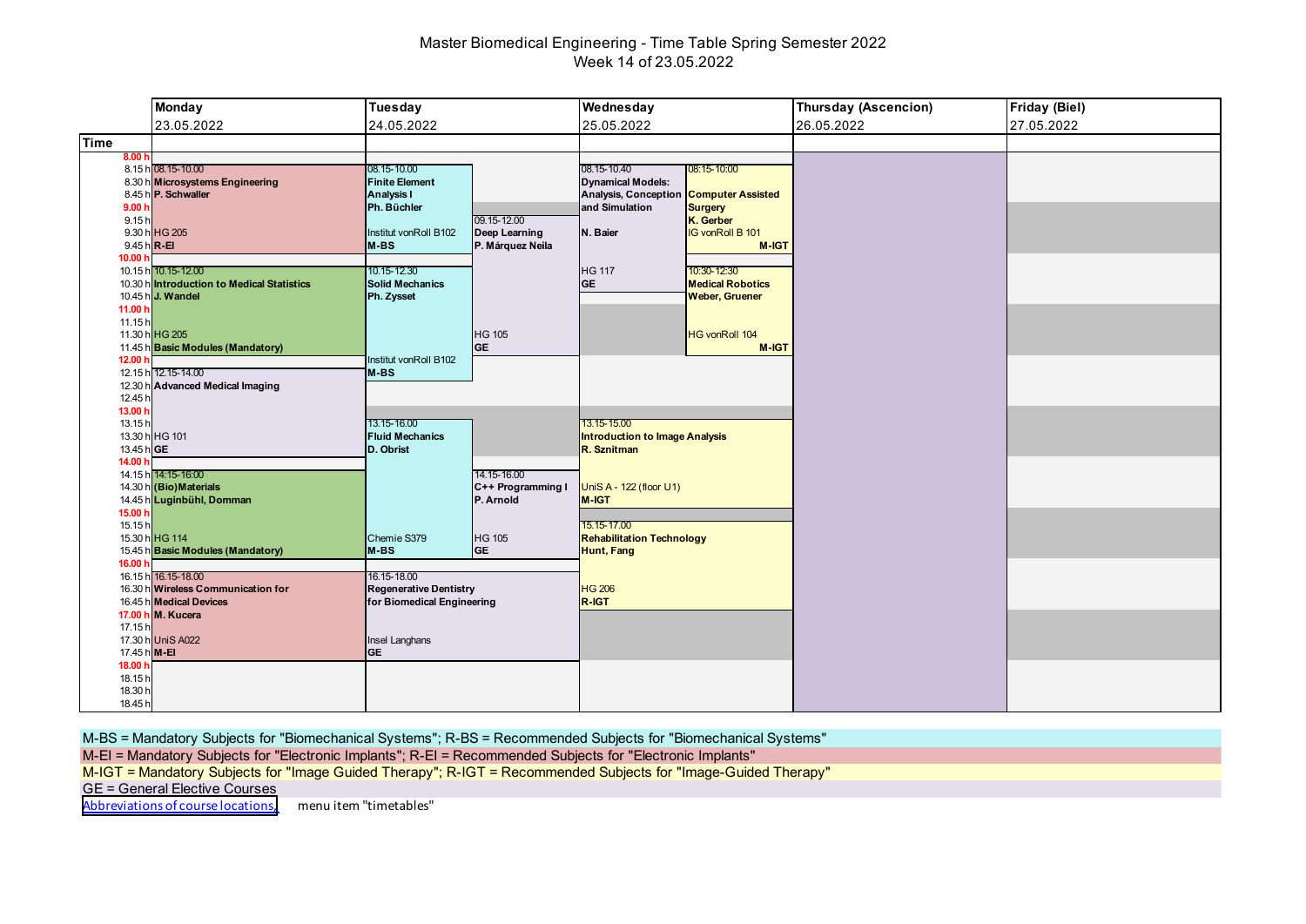# Master Biomedical Engineering - Time Table Spring Semester 2022 Week 14 of 23.05.2022

|                    | <b>Monday</b>                                                   | <b>Tuesday</b>                         | Wednesday                                                                  | <b>Thursday (Ascencion)</b> | Friday (Biel) |
|--------------------|-----------------------------------------------------------------|----------------------------------------|----------------------------------------------------------------------------|-----------------------------|---------------|
|                    | 23.05.2022                                                      | 24.05.2022                             | 25.05.2022                                                                 | 26.05.2022                  | 27.05.2022    |
| <b>Time</b>        |                                                                 |                                        |                                                                            |                             |               |
| 8.00 h             |                                                                 |                                        |                                                                            |                             |               |
|                    | 8.15 h 08.15-10.00                                              | 08.15-10.00                            | 08.15-10.40<br>08:15-10:00                                                 |                             |               |
|                    | 8.30 h Microsystems Engineering                                 | <b>Finite Element</b>                  | <b>Dynamical Models:</b>                                                   |                             |               |
| 9.00h              | 8.45 h P. Schwaller                                             | Analysis I<br>Ph. Büchler              | Analysis, Conception Computer Assisted<br>and Simulation<br><b>Surgery</b> |                             |               |
| 9.15h              |                                                                 | 09.15-12.00                            | K. Gerber                                                                  |                             |               |
|                    | 9.30 h HG 205                                                   | Institut vonRoll B102<br>Deep Learning | <b>IG vonRoll B 101</b><br>N. Baier                                        |                             |               |
|                    | 9.45 h R-EI                                                     | M-BS<br>P. Márquez Neila               | M-IGT                                                                      |                             |               |
| 10.00 h            |                                                                 |                                        |                                                                            |                             |               |
|                    | 10.15 h 10.15-12.00                                             | 10.15-12.30                            | <b>HG 117</b><br>10:30-12:30                                               |                             |               |
|                    | 10.30 h Introduction to Medical Statistics<br>10.45 h J. Wandel | <b>Solid Mechanics</b><br>Ph. Zysset   | <b>GE</b><br><b>Medical Robotics</b><br><b>Weber, Gruener</b>              |                             |               |
| 11.00 h            |                                                                 |                                        |                                                                            |                             |               |
| 11.15h             |                                                                 |                                        |                                                                            |                             |               |
|                    | 11.30 h HG 205                                                  | <b>HG 105</b>                          | <b>HG vonRoll 104</b>                                                      |                             |               |
|                    | 11.45 h Basic Modules (Mandatory)                               | <b>GE</b>                              | M-IGT                                                                      |                             |               |
| 12.00 h            |                                                                 | Institut vonRoll B102                  |                                                                            |                             |               |
|                    | 12.15 h 12.15-14.00                                             | $M-BS$                                 |                                                                            |                             |               |
| 12.30 h<br>12.45 h | <b>Advanced Medical Imaging</b>                                 |                                        |                                                                            |                             |               |
| 13.00 h            |                                                                 |                                        |                                                                            |                             |               |
| 13.15h             |                                                                 | 13.15-16.00                            | 13.15-15.00                                                                |                             |               |
|                    | 13.30 h HG 101                                                  | <b>Fluid Mechanics</b>                 | <b>Introduction to Image Analysis</b>                                      |                             |               |
| 13.45 h GE         |                                                                 | D. Obrist                              | R. Sznitman                                                                |                             |               |
| 14.00 h            |                                                                 | 14.15-16.00                            |                                                                            |                             |               |
|                    | 14.15 h 14:15-16:00<br>14.30 h (Bio) Materials                  | C++ Programming I                      | UniS A - 122 (floor U1)                                                    |                             |               |
|                    | 14.45 h Luginbühl, Domman                                       | P. Arnold                              | M-IGT                                                                      |                             |               |
| 15.00 h            |                                                                 |                                        |                                                                            |                             |               |
| 15.15h             |                                                                 |                                        | 15.15-17.00                                                                |                             |               |
|                    | 15.30 h HG 114                                                  | Chemie S379<br><b>HG 105</b>           | <b>Rehabilitation Technology</b>                                           |                             |               |
| 16.00 h            | 15.45 h Basic Modules (Mandatory)                               | <b>GE</b><br>M-BS                      | Hunt, Fang                                                                 |                             |               |
|                    | 16.15 h 16.15-18.00                                             | 16.15-18.00                            |                                                                            |                             |               |
|                    | 16.30 h Wireless Communication for                              | <b>Regenerative Dentistry</b>          | <b>HG 206</b>                                                              |                             |               |
|                    | 16.45 h Medical Devices                                         | for Biomedical Engineering             | R-IGT                                                                      |                             |               |
|                    | 17.00 h M. Kucera                                               |                                        |                                                                            |                             |               |
| 17.15h             |                                                                 |                                        |                                                                            |                             |               |
| 17.45 h M-EI       | 17.30 h UniS A022                                               | Insel Langhans<br><b>GE</b>            |                                                                            |                             |               |
| 18.00 h            |                                                                 |                                        |                                                                            |                             |               |
| 18.15h             |                                                                 |                                        |                                                                            |                             |               |
| 18.30 h            |                                                                 |                                        |                                                                            |                             |               |
| 18.45 h            |                                                                 |                                        |                                                                            |                             |               |

M-BS = Mandatory Subjects for "Biomechanical Systems"; R-BS = Recommended Subjects for "Biomechanical Systems"

M-EI = Mandatory Subjects for "Electronic Implants"; R-EI = Recommended Subjects for "Electronic Implants"

M-IGT = Mandatory Subjects for "Image Guided Therapy"; R-IGT = Recommended Subjects for "Image-Guided Therapy"

GE = General Elective Courses